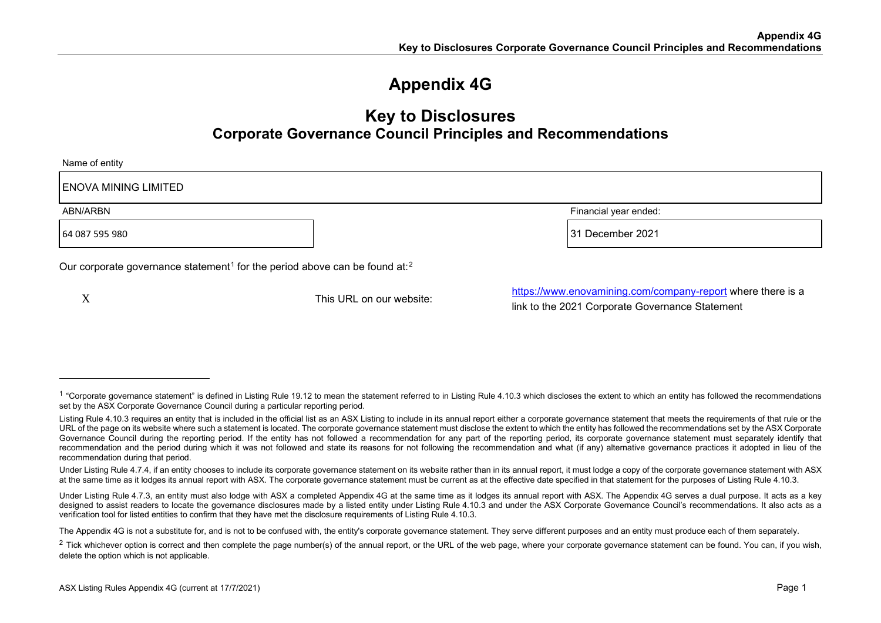## <span id="page-0-1"></span><span id="page-0-0"></span>**Appendix 4G**

### **Key to Disclosures Corporate Governance Council Principles and Recommendations**

| Name of entity                                                                                     |                          |                                                                                                                |  |
|----------------------------------------------------------------------------------------------------|--------------------------|----------------------------------------------------------------------------------------------------------------|--|
| <b>ENOVA MINING LIMITED</b>                                                                        |                          |                                                                                                                |  |
| Financial year ended:<br>ABN/ARBN                                                                  |                          |                                                                                                                |  |
| 64 087 595 980                                                                                     |                          | 31 December 2021                                                                                               |  |
| Our corporate governance statement <sup>1</sup> for the period above can be found at: <sup>2</sup> |                          |                                                                                                                |  |
| X                                                                                                  | This URL on our website: | https://www.enovamining.com/company-report where there is a<br>link to the 2021 Corporate Governance Statement |  |

<sup>&</sup>lt;sup>1</sup> "Corporate governance statement" is defined in Listing Rule 19.12 to mean the statement referred to in Listing Rule 4.10.3 which discloses the extent to which an entity has followed the recommendations set by the ASX Corporate Governance Council during a particular reporting period.

Listing Rule 4.10.3 requires an entity that is included in the official list as an ASX Listing to include in its annual report either a corporate governance statement that meets the requirements of that rule or the URL of the page on its website where such a statement is located. The corporate governance statement must disclose the extent to which the entity has followed the recommendations set by the ASX Corporate Governance Council during the reporting period. If the entity has not followed a recommendation for any part of the reporting period, its corporate governance statement must separately identify that recommendation and the period during which it was not followed and state its reasons for not following the recommendation and what (if any) alternative governance practices it adopted in lieu of the recommendation during that period.

Under Listing Rule 4.7.4, if an entity chooses to include its corporate governance statement on its website rather than in its annual report, it must lodge a copy of the corporate governance statement with ASX at the same time as it lodges its annual report with ASX. The corporate governance statement must be current as at the effective date specified in that statement for the purposes of Listing Rule 4.10.3.

Under Listing Rule 4.7.3, an entity must also lodge with ASX a completed Appendix 4G at the same time as it lodges its annual report with ASX. The Appendix 4G serves a dual purpose. It acts as a key designed to assist readers to locate the governance disclosures made by a listed entity under Listing Rule 4.10.3 and under the ASX Corporate Governance Council's recommendations. It also acts as a verification tool for listed entities to confirm that they have met the disclosure requirements of Listing Rule 4.10.3.

The Appendix 4G is not a substitute for, and is not to be confused with, the entity's corporate governance statement. They serve different purposes and an entity must produce each of them separately.

 $2$  Tick whichever option is correct and then complete the page number(s) of the annual report, or the URL of the web page, where your corporate governance statement can be found. You can, if you wish, delete the option which is not applicable.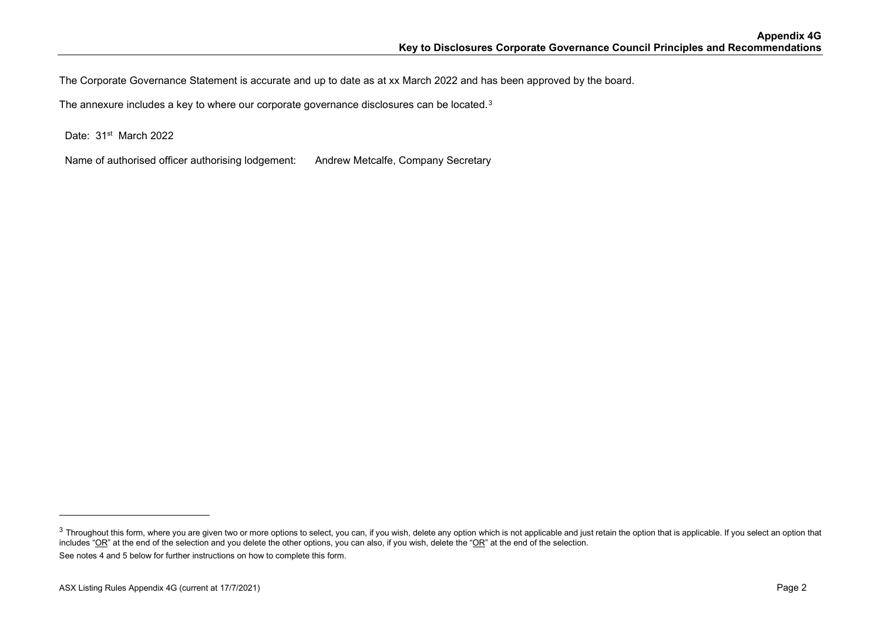<span id="page-1-0"></span>The Corporate Governance Statement is accurate and up to date as at xx March 2022 and has been approved by the board.

The annexure includes a key to where our corporate governance disclosures can be located.<sup>[3](#page-1-0)</sup>

Date: 31<sup>st</sup> March 2022

Name of authorised officer authorising lodgement: Andrew Metcalfe, Company Secretary

 $3$  Throughout this form, where you are given two or more options to select, you can, if you wish, delete any option which is not applicable and just retain the option that is applicable. If you select an option that includes "OR" at the end of the selection and you delete the other options, you can also, if you wish, delete the "OR" at the end of the selection. See notes 4 and 5 below for further instructions on how to complete this form.

ASX Listing Rules Appendix 4G (current at 17/7/2021) **Page 2**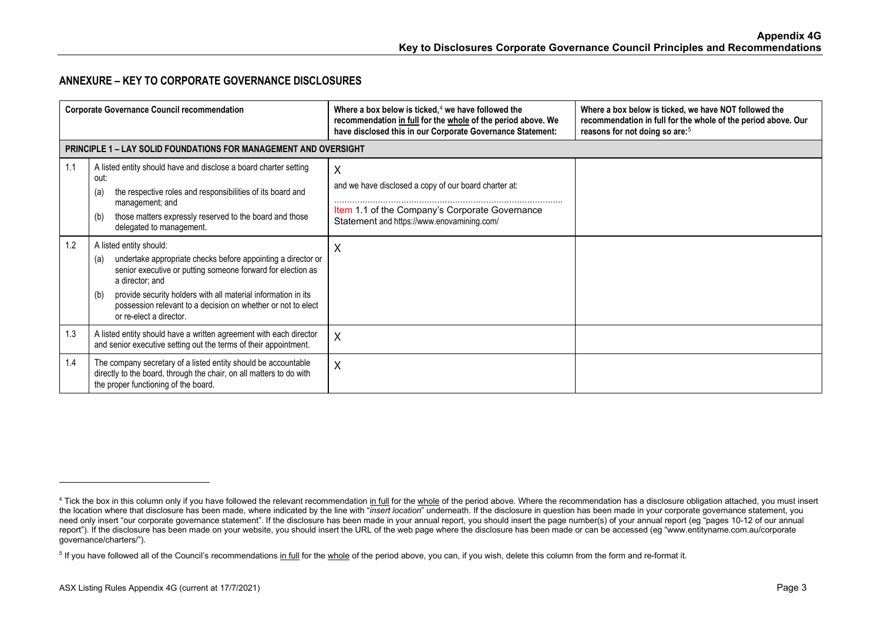### <span id="page-2-1"></span><span id="page-2-0"></span>**ANNEXURE – KEY TO CORPORATE GOVERNANCE DISCLOSURES**

|     | <b>Corporate Governance Council recommendation</b>                                                                                                                                                                                                                                                                                                  | Where a box below is ticked, $4$ we have followed the<br>recommendation in full for the whole of the period above. We<br>have disclosed this in our Corporate Governance Statement: | Where a box below is ticked, we have NOT followed the<br>recommendation in full for the whole of the period above. Our<br>reasons for not doing so are: <sup>5</sup> |
|-----|-----------------------------------------------------------------------------------------------------------------------------------------------------------------------------------------------------------------------------------------------------------------------------------------------------------------------------------------------------|-------------------------------------------------------------------------------------------------------------------------------------------------------------------------------------|----------------------------------------------------------------------------------------------------------------------------------------------------------------------|
|     | <b>PRINCIPLE 1 – LAY SOLID FOUNDATIONS FOR MANAGEMENT AND OVERSIGHT</b>                                                                                                                                                                                                                                                                             |                                                                                                                                                                                     |                                                                                                                                                                      |
| 1.1 | A listed entity should have and disclose a board charter setting<br>out:<br>the respective roles and responsibilities of its board and<br>(a)<br>management; and<br>those matters expressly reserved to the board and those<br>(b)<br>delegated to management.                                                                                      | X<br>and we have disclosed a copy of our board charter at:<br>Item 1.1 of the Company's Corporate Governance<br>Statement and https://www.enovamining.com/                          |                                                                                                                                                                      |
| 1.2 | A listed entity should:<br>undertake appropriate checks before appointing a director or<br>(a)<br>senior executive or putting someone forward for election as<br>a director; and<br>provide security holders with all material information in its<br>(b)<br>possession relevant to a decision on whether or not to elect<br>or re-elect a director. | Χ                                                                                                                                                                                   |                                                                                                                                                                      |
| 1.3 | A listed entity should have a written agreement with each director<br>and senior executive setting out the terms of their appointment.                                                                                                                                                                                                              | X                                                                                                                                                                                   |                                                                                                                                                                      |
| 1.4 | The company secretary of a listed entity should be accountable<br>directly to the board, through the chair, on all matters to do with<br>the proper functioning of the board.                                                                                                                                                                       | X                                                                                                                                                                                   |                                                                                                                                                                      |

<sup>&</sup>lt;sup>4</sup> Tick the box in this column only if you have followed the relevant recommendation in full for the whole of the period above. Where the recommendation has a disclosure obligation attached, you must insert the location where that disclosure has been made, where indicated by the line with "*insert location*" underneath. If the disclosure in question has been made in your corporate governance statement, you need only insert "our corporate governance statement". If the disclosure has been made in your annual report, you should insert the page number(s) of your annual report (eg "pages 10-12 of our annual report"). If the disclosure has been made on your website, you should insert the URL of the web page where the disclosure has been made or can be accessed (eg "www.entityname.com.au/corporate governance/charters/").

<sup>&</sup>lt;sup>5</sup> If you have followed all of the Council's recommendations in full for the whole of the period above, you can, if you wish, delete this column from the form and re-format it.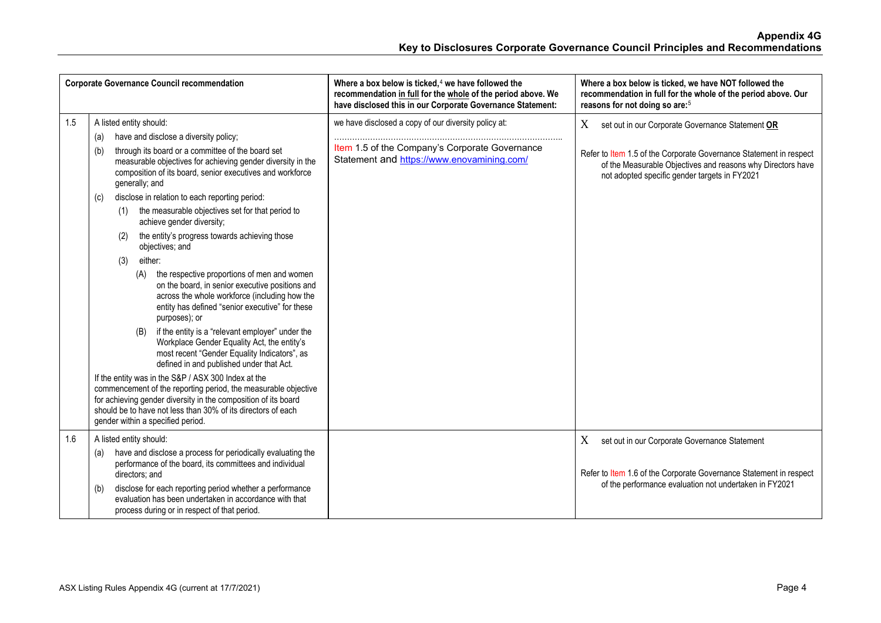|     | <b>Corporate Governance Council recommendation</b>                                                                                                                                                                                                                                                                                                                                                                                                                                                                                                                                                                                                                                                                                                                                                                                                                                                                                                                                                                                                                                                                                                                                                                                                                  | Where a box below is ticked, $4$ we have followed the<br>recommendation in full for the whole of the period above. We<br>have disclosed this in our Corporate Governance Statement: | Where a box below is ticked, we have NOT followed the<br>recommendation in full for the whole of the period above. Our<br>reasons for not doing so are: <sup>5</sup>                                                                        |
|-----|---------------------------------------------------------------------------------------------------------------------------------------------------------------------------------------------------------------------------------------------------------------------------------------------------------------------------------------------------------------------------------------------------------------------------------------------------------------------------------------------------------------------------------------------------------------------------------------------------------------------------------------------------------------------------------------------------------------------------------------------------------------------------------------------------------------------------------------------------------------------------------------------------------------------------------------------------------------------------------------------------------------------------------------------------------------------------------------------------------------------------------------------------------------------------------------------------------------------------------------------------------------------|-------------------------------------------------------------------------------------------------------------------------------------------------------------------------------------|---------------------------------------------------------------------------------------------------------------------------------------------------------------------------------------------------------------------------------------------|
| 1.5 | A listed entity should:<br>have and disclose a diversity policy;<br>(a)<br>through its board or a committee of the board set<br>(b)<br>measurable objectives for achieving gender diversity in the<br>composition of its board, senior executives and workforce<br>generally; and<br>disclose in relation to each reporting period:<br>(c)<br>the measurable objectives set for that period to<br>(1)<br>achieve gender diversity;<br>the entity's progress towards achieving those<br>(2)<br>objectives; and<br>either:<br>(3)<br>the respective proportions of men and women<br>(A)<br>on the board, in senior executive positions and<br>across the whole workforce (including how the<br>entity has defined "senior executive" for these<br>purposes); or<br>if the entity is a "relevant employer" under the<br>(B)<br>Workplace Gender Equality Act, the entity's<br>most recent "Gender Equality Indicators", as<br>defined in and published under that Act.<br>If the entity was in the S&P / ASX 300 Index at the<br>commencement of the reporting period, the measurable objective<br>for achieving gender diversity in the composition of its board<br>should be to have not less than 30% of its directors of each<br>gender within a specified period. | we have disclosed a copy of our diversity policy at:<br>Item 1.5 of the Company's Corporate Governance<br>Statement and https://www.enovamining.com/                                | X<br>set out in our Corporate Governance Statement OR<br>Refer to Item 1.5 of the Corporate Governance Statement in respect<br>of the Measurable Objectives and reasons why Directors have<br>not adopted specific gender targets in FY2021 |
| 1.6 | A listed entity should:<br>have and disclose a process for periodically evaluating the<br>(a)<br>performance of the board, its committees and individual<br>directors; and<br>disclose for each reporting period whether a performance<br>(b)<br>evaluation has been undertaken in accordance with that<br>process during or in respect of that period.                                                                                                                                                                                                                                                                                                                                                                                                                                                                                                                                                                                                                                                                                                                                                                                                                                                                                                             |                                                                                                                                                                                     | X<br>set out in our Corporate Governance Statement<br>Refer to Item 1.6 of the Corporate Governance Statement in respect<br>of the performance evaluation not undertaken in FY2021                                                          |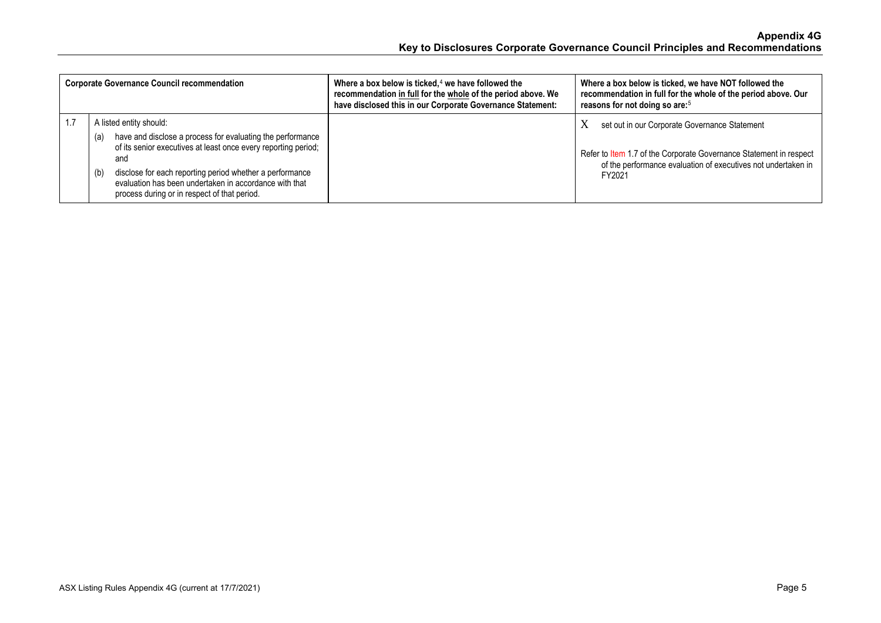| <b>Corporate Governance Council recommendation</b>                                                                                                                                                                                                                                                                                                 | Where a box below is ticked, $4$ we have followed the<br>recommendation in full for the whole of the period above. We<br>have disclosed this in our Corporate Governance Statement: | Where a box below is ticked, we have NOT followed the<br>recommendation in full for the whole of the period above. Our<br>reasons for not doing so are: <sup>5</sup>                                |
|----------------------------------------------------------------------------------------------------------------------------------------------------------------------------------------------------------------------------------------------------------------------------------------------------------------------------------------------------|-------------------------------------------------------------------------------------------------------------------------------------------------------------------------------------|-----------------------------------------------------------------------------------------------------------------------------------------------------------------------------------------------------|
| A listed entity should:<br>have and disclose a process for evaluating the performance<br>(a)<br>of its senior executives at least once every reporting period;<br>and<br>disclose for each reporting period whether a performance<br>(b)<br>evaluation has been undertaken in accordance with that<br>process during or in respect of that period. |                                                                                                                                                                                     | set out in our Corporate Governance Statement<br>X<br>Refer to Item 1.7 of the Corporate Governance Statement in respect<br>of the performance evaluation of executives not undertaken in<br>FY2021 |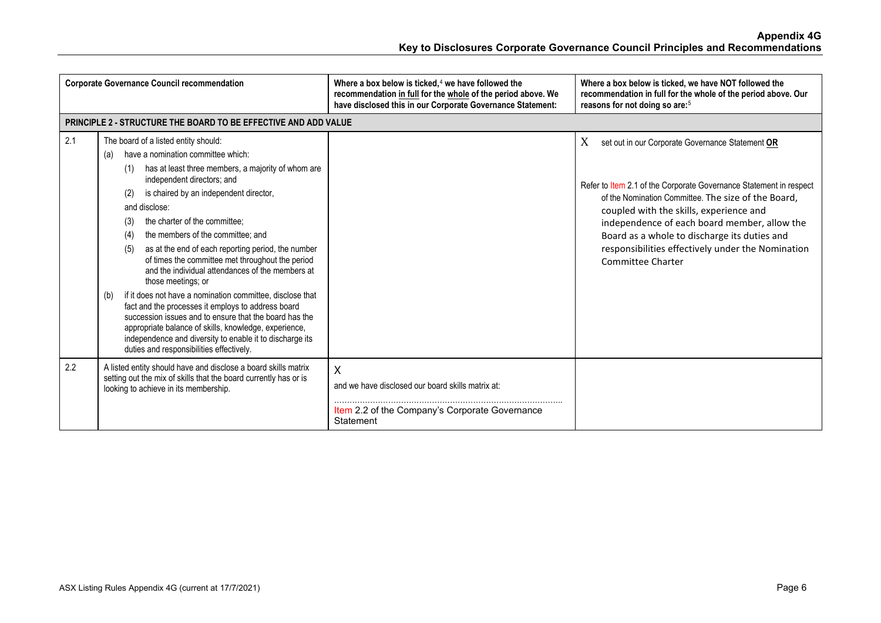|     | <b>Corporate Governance Council recommendation</b>                                                                                                                                                                                                                                                                                                                                                                                                                                                                                                                                                                                                                                                                                                                                                                                                                                 | Where a box below is ticked, $4$ we have followed the<br>recommendation in full for the whole of the period above. We<br>have disclosed this in our Corporate Governance Statement: | Where a box below is ticked, we have NOT followed the<br>recommendation in full for the whole of the period above. Our<br>reasons for not doing so are: <sup>5</sup>                                                                                                                                                                                                                                    |
|-----|------------------------------------------------------------------------------------------------------------------------------------------------------------------------------------------------------------------------------------------------------------------------------------------------------------------------------------------------------------------------------------------------------------------------------------------------------------------------------------------------------------------------------------------------------------------------------------------------------------------------------------------------------------------------------------------------------------------------------------------------------------------------------------------------------------------------------------------------------------------------------------|-------------------------------------------------------------------------------------------------------------------------------------------------------------------------------------|---------------------------------------------------------------------------------------------------------------------------------------------------------------------------------------------------------------------------------------------------------------------------------------------------------------------------------------------------------------------------------------------------------|
|     | <b>PRINCIPLE 2 - STRUCTURE THE BOARD TO BE EFFECTIVE AND ADD VALUE</b>                                                                                                                                                                                                                                                                                                                                                                                                                                                                                                                                                                                                                                                                                                                                                                                                             |                                                                                                                                                                                     |                                                                                                                                                                                                                                                                                                                                                                                                         |
| 2.1 | The board of a listed entity should:<br>have a nomination committee which:<br>(a)<br>has at least three members, a majority of whom are<br>(1)<br>independent directors; and<br>is chaired by an independent director,<br>(2)<br>and disclose:<br>the charter of the committee:<br>(3)<br>the members of the committee; and<br>(4)<br>as at the end of each reporting period, the number<br>(5)<br>of times the committee met throughout the period<br>and the individual attendances of the members at<br>those meetings; or<br>if it does not have a nomination committee, disclose that<br>(b)<br>fact and the processes it employs to address board<br>succession issues and to ensure that the board has the<br>appropriate balance of skills, knowledge, experience,<br>independence and diversity to enable it to discharge its<br>duties and responsibilities effectively. |                                                                                                                                                                                     | X<br>set out in our Corporate Governance Statement OR<br>Refer to Item 2.1 of the Corporate Governance Statement in respect<br>of the Nomination Committee. The size of the Board,<br>coupled with the skills, experience and<br>independence of each board member, allow the<br>Board as a whole to discharge its duties and<br>responsibilities effectively under the Nomination<br>Committee Charter |
| 2.2 | A listed entity should have and disclose a board skills matrix<br>setting out the mix of skills that the board currently has or is<br>looking to achieve in its membership.                                                                                                                                                                                                                                                                                                                                                                                                                                                                                                                                                                                                                                                                                                        | X<br>and we have disclosed our board skills matrix at:<br>Item 2.2 of the Company's Corporate Governance<br>Statement                                                               |                                                                                                                                                                                                                                                                                                                                                                                                         |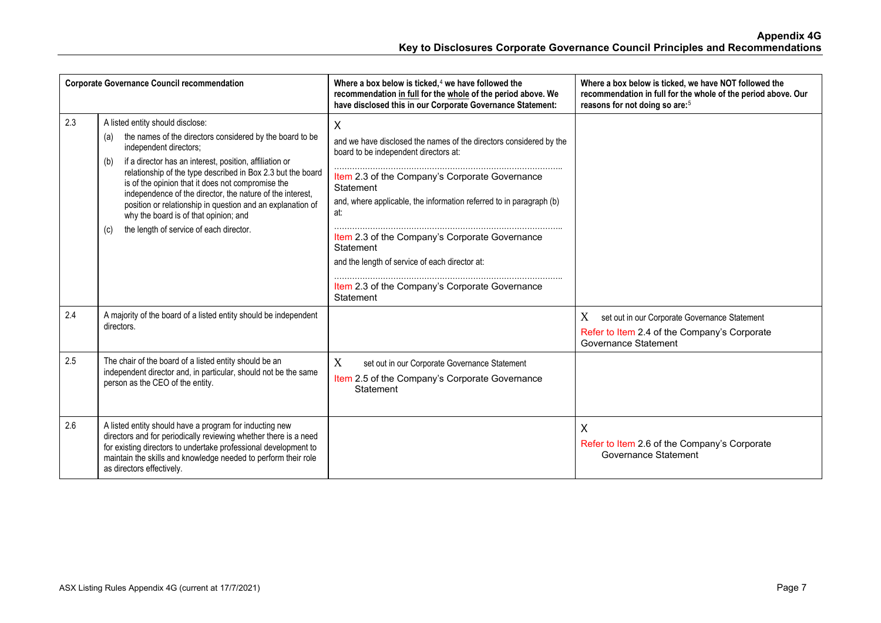|     | <b>Corporate Governance Council recommendation</b>                                                                                                                                                                                                                                                                                                                                                                                                                                      | Where a box below is ticked, $4$ we have followed the<br>recommendation in full for the whole of the period above. We<br>have disclosed this in our Corporate Governance Statement: | Where a box below is ticked, we have NOT followed the<br>recommendation in full for the whole of the period above. Our<br>reasons for not doing so are: <sup>5</sup> |
|-----|-----------------------------------------------------------------------------------------------------------------------------------------------------------------------------------------------------------------------------------------------------------------------------------------------------------------------------------------------------------------------------------------------------------------------------------------------------------------------------------------|-------------------------------------------------------------------------------------------------------------------------------------------------------------------------------------|----------------------------------------------------------------------------------------------------------------------------------------------------------------------|
| 2.3 | A listed entity should disclose:<br>the names of the directors considered by the board to be<br>(a)<br>independent directors;<br>if a director has an interest, position, affiliation or<br>(b)<br>relationship of the type described in Box 2.3 but the board<br>is of the opinion that it does not compromise the<br>independence of the director, the nature of the interest,<br>position or relationship in question and an explanation of<br>why the board is of that opinion; and | X<br>and we have disclosed the names of the directors considered by the<br>board to be independent directors at:                                                                    |                                                                                                                                                                      |
|     |                                                                                                                                                                                                                                                                                                                                                                                                                                                                                         | Item 2.3 of the Company's Corporate Governance<br>Statement<br>and, where applicable, the information referred to in paragraph (b)<br>at:                                           |                                                                                                                                                                      |
|     | the length of service of each director.<br>(c)                                                                                                                                                                                                                                                                                                                                                                                                                                          | Item 2.3 of the Company's Corporate Governance<br>Statement<br>and the length of service of each director at:                                                                       |                                                                                                                                                                      |
|     |                                                                                                                                                                                                                                                                                                                                                                                                                                                                                         | Item 2.3 of the Company's Corporate Governance<br>Statement                                                                                                                         |                                                                                                                                                                      |
| 2.4 | A majority of the board of a listed entity should be independent<br>directors.                                                                                                                                                                                                                                                                                                                                                                                                          |                                                                                                                                                                                     | X<br>set out in our Corporate Governance Statement<br>Refer to Item 2.4 of the Company's Corporate<br>Governance Statement                                           |
| 2.5 | The chair of the board of a listed entity should be an<br>independent director and, in particular, should not be the same<br>person as the CEO of the entity.                                                                                                                                                                                                                                                                                                                           | X<br>set out in our Corporate Governance Statement<br>Item 2.5 of the Company's Corporate Governance<br>Statement                                                                   |                                                                                                                                                                      |
| 2.6 | A listed entity should have a program for inducting new<br>directors and for periodically reviewing whether there is a need<br>for existing directors to undertake professional development to<br>maintain the skills and knowledge needed to perform their role<br>as directors effectively.                                                                                                                                                                                           |                                                                                                                                                                                     | $\times$<br>Refer to Item 2.6 of the Company's Corporate<br>Governance Statement                                                                                     |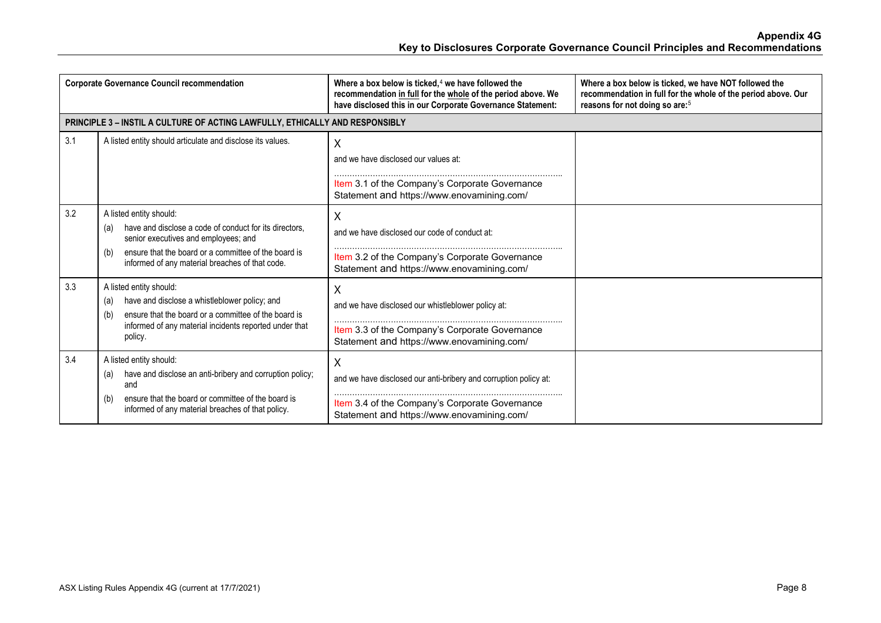|     | <b>Corporate Governance Council recommendation</b>                                                                                                                                                                                                 | Where a box below is ticked, $4$ we have followed the<br>recommendation in full for the whole of the period above. We<br>have disclosed this in our Corporate Governance Statement: | Where a box below is ticked, we have NOT followed the<br>recommendation in full for the whole of the period above. Our<br>reasons for not doing so are: <sup>5</sup> |
|-----|----------------------------------------------------------------------------------------------------------------------------------------------------------------------------------------------------------------------------------------------------|-------------------------------------------------------------------------------------------------------------------------------------------------------------------------------------|----------------------------------------------------------------------------------------------------------------------------------------------------------------------|
|     | PRINCIPLE 3 - INSTIL A CULTURE OF ACTING LAWFULLY, ETHICALLY AND RESPONSIBLY                                                                                                                                                                       |                                                                                                                                                                                     |                                                                                                                                                                      |
| 3.1 | A listed entity should articulate and disclose its values.                                                                                                                                                                                         | X<br>and we have disclosed our values at:<br>Item 3.1 of the Company's Corporate Governance<br>Statement and https://www.enovamining.com/                                           |                                                                                                                                                                      |
| 3.2 | A listed entity should:<br>have and disclose a code of conduct for its directors.<br>(a)<br>senior executives and employees; and<br>ensure that the board or a committee of the board is<br>(b)<br>informed of any material breaches of that code. | X<br>and we have disclosed our code of conduct at:<br>Item 3.2 of the Company's Corporate Governance<br>Statement and https://www.enovamining.com/                                  |                                                                                                                                                                      |
| 3.3 | A listed entity should:<br>have and disclose a whistleblower policy; and<br>(a)<br>ensure that the board or a committee of the board is<br>(b)<br>informed of any material incidents reported under that<br>policy.                                | Χ<br>and we have disclosed our whistleblower policy at:<br>Item 3.3 of the Company's Corporate Governance<br>Statement and https://www.enovamining.com/                             |                                                                                                                                                                      |
| 3.4 | A listed entity should:<br>have and disclose an anti-bribery and corruption policy;<br>(a)<br>and<br>ensure that the board or committee of the board is<br>(b)<br>informed of any material breaches of that policy.                                | X<br>and we have disclosed our anti-bribery and corruption policy at:<br>Item 3.4 of the Company's Corporate Governance<br>Statement and https://www.enovamining.com/               |                                                                                                                                                                      |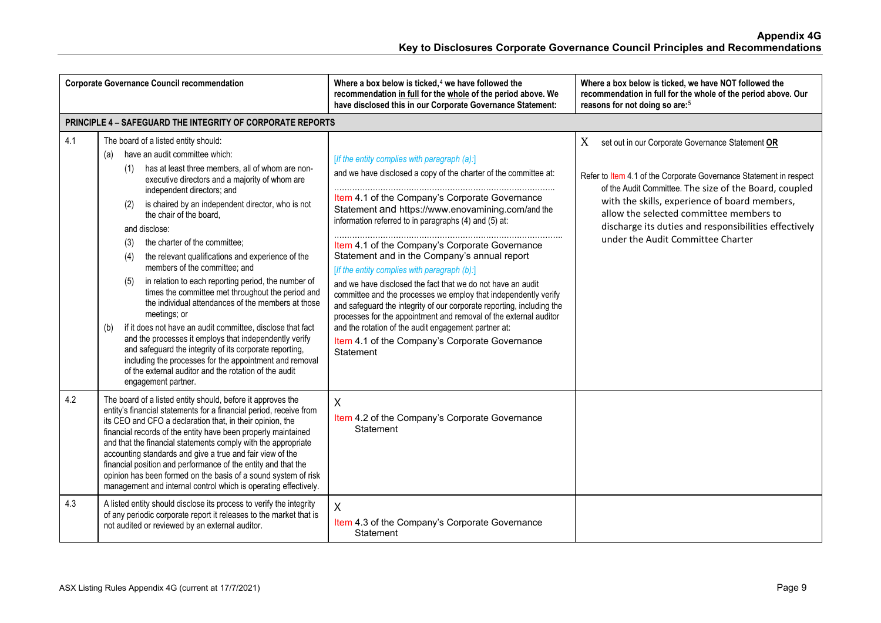|     | <b>Corporate Governance Council recommendation</b>                                                                                                                                                                                                                                                                                                                                                                                                                                                                                                                                                                                                                                                                                                                                                                                                                                                                                                                                                  | Where a box below is ticked, $4$ we have followed the<br>recommendation in full for the whole of the period above. We<br>have disclosed this in our Corporate Governance Statement:                                                                                                                                                                                                                                                                                                                                                                                                                                                                                                                                                                                                                                                       | Where a box below is ticked, we have NOT followed the<br>recommendation in full for the whole of the period above. Our<br>reasons for not doing so are: <sup>5</sup>                                                                                                                                                                                                            |
|-----|-----------------------------------------------------------------------------------------------------------------------------------------------------------------------------------------------------------------------------------------------------------------------------------------------------------------------------------------------------------------------------------------------------------------------------------------------------------------------------------------------------------------------------------------------------------------------------------------------------------------------------------------------------------------------------------------------------------------------------------------------------------------------------------------------------------------------------------------------------------------------------------------------------------------------------------------------------------------------------------------------------|-------------------------------------------------------------------------------------------------------------------------------------------------------------------------------------------------------------------------------------------------------------------------------------------------------------------------------------------------------------------------------------------------------------------------------------------------------------------------------------------------------------------------------------------------------------------------------------------------------------------------------------------------------------------------------------------------------------------------------------------------------------------------------------------------------------------------------------------|---------------------------------------------------------------------------------------------------------------------------------------------------------------------------------------------------------------------------------------------------------------------------------------------------------------------------------------------------------------------------------|
|     | PRINCIPLE 4 - SAFEGUARD THE INTEGRITY OF CORPORATE REPORTS                                                                                                                                                                                                                                                                                                                                                                                                                                                                                                                                                                                                                                                                                                                                                                                                                                                                                                                                          |                                                                                                                                                                                                                                                                                                                                                                                                                                                                                                                                                                                                                                                                                                                                                                                                                                           |                                                                                                                                                                                                                                                                                                                                                                                 |
| 4.1 | The board of a listed entity should:<br>have an audit committee which:<br>(a)<br>has at least three members, all of whom are non-<br>(1)<br>executive directors and a majority of whom are<br>independent directors; and<br>is chaired by an independent director, who is not<br>(2)<br>the chair of the board,<br>and disclose:<br>the charter of the committee;<br>(3)<br>the relevant qualifications and experience of the<br>(4)<br>members of the committee; and<br>in relation to each reporting period, the number of<br>(5)<br>times the committee met throughout the period and<br>the individual attendances of the members at those<br>meetings; or<br>if it does not have an audit committee, disclose that fact<br>(b)<br>and the processes it employs that independently verify<br>and safeguard the integrity of its corporate reporting,<br>including the processes for the appointment and removal<br>of the external auditor and the rotation of the audit<br>engagement partner. | [If the entity complies with paragraph (a):]<br>and we have disclosed a copy of the charter of the committee at:<br>Item 4.1 of the Company's Corporate Governance<br>Statement and https://www.enovamining.com/and the<br>information referred to in paragraphs (4) and (5) at:<br>Item 4.1 of the Company's Corporate Governance<br>Statement and in the Company's annual report<br>[If the entity complies with paragraph (b):]<br>and we have disclosed the fact that we do not have an audit<br>committee and the processes we employ that independently verify<br>and safeguard the integrity of our corporate reporting, including the<br>processes for the appointment and removal of the external auditor<br>and the rotation of the audit engagement partner at:<br>Item 4.1 of the Company's Corporate Governance<br>Statement | X<br>set out in our Corporate Governance Statement OR<br>Refer to Item 4.1 of the Corporate Governance Statement in respect<br>of the Audit Committee. The size of the Board, coupled<br>with the skills, experience of board members,<br>allow the selected committee members to<br>discharge its duties and responsibilities effectively<br>under the Audit Committee Charter |
| 4.2 | The board of a listed entity should, before it approves the<br>entity's financial statements for a financial period, receive from<br>its CEO and CFO a declaration that, in their opinion, the<br>financial records of the entity have been properly maintained<br>and that the financial statements comply with the appropriate<br>accounting standards and give a true and fair view of the<br>financial position and performance of the entity and that the<br>opinion has been formed on the basis of a sound system of risk<br>management and internal control which is operating effectively.                                                                                                                                                                                                                                                                                                                                                                                                 | Χ<br>Item 4.2 of the Company's Corporate Governance<br>Statement                                                                                                                                                                                                                                                                                                                                                                                                                                                                                                                                                                                                                                                                                                                                                                          |                                                                                                                                                                                                                                                                                                                                                                                 |
| 4.3 | A listed entity should disclose its process to verify the integrity<br>of any periodic corporate report it releases to the market that is<br>not audited or reviewed by an external auditor.                                                                                                                                                                                                                                                                                                                                                                                                                                                                                                                                                                                                                                                                                                                                                                                                        | X<br>Item 4.3 of the Company's Corporate Governance<br>Statement                                                                                                                                                                                                                                                                                                                                                                                                                                                                                                                                                                                                                                                                                                                                                                          |                                                                                                                                                                                                                                                                                                                                                                                 |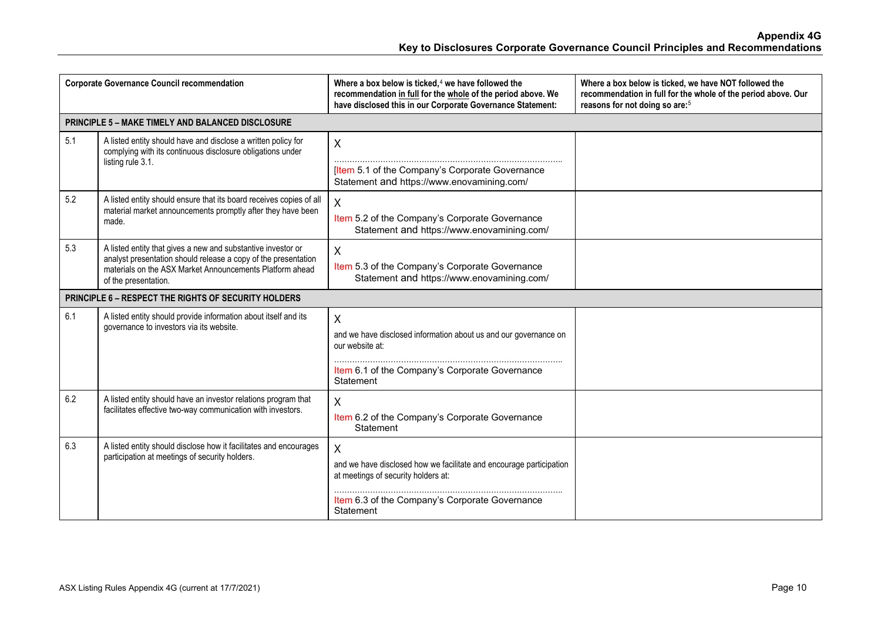|     | <b>Corporate Governance Council recommendation</b>                                                                                                                                                                 | Where a box below is ticked, $4$ we have followed the<br>recommendation in full for the whole of the period above. We<br>have disclosed this in our Corporate Governance Statement: | Where a box below is ticked, we have NOT followed the<br>recommendation in full for the whole of the period above. Our<br>reasons for not doing so are: <sup>5</sup> |
|-----|--------------------------------------------------------------------------------------------------------------------------------------------------------------------------------------------------------------------|-------------------------------------------------------------------------------------------------------------------------------------------------------------------------------------|----------------------------------------------------------------------------------------------------------------------------------------------------------------------|
|     | <b>PRINCIPLE 5 - MAKE TIMELY AND BALANCED DISCLOSURE</b>                                                                                                                                                           |                                                                                                                                                                                     |                                                                                                                                                                      |
| 5.1 | A listed entity should have and disclose a written policy for<br>complying with its continuous disclosure obligations under<br>listing rule 3.1.                                                                   | $\sf X$<br>[Item 5.1 of the Company's Corporate Governance<br>Statement and https://www.enovamining.com/                                                                            |                                                                                                                                                                      |
| 5.2 | A listed entity should ensure that its board receives copies of all<br>material market announcements promptly after they have been<br>made.                                                                        | $\sf X$<br>Item 5.2 of the Company's Corporate Governance<br>Statement and https://www.enovamining.com/                                                                             |                                                                                                                                                                      |
| 5.3 | A listed entity that gives a new and substantive investor or<br>analyst presentation should release a copy of the presentation<br>materials on the ASX Market Announcements Platform ahead<br>of the presentation. | X<br>Item 5.3 of the Company's Corporate Governance<br>Statement and https://www.enovamining.com/                                                                                   |                                                                                                                                                                      |
|     | <b>PRINCIPLE 6 - RESPECT THE RIGHTS OF SECURITY HOLDERS</b>                                                                                                                                                        |                                                                                                                                                                                     |                                                                                                                                                                      |
| 6.1 | A listed entity should provide information about itself and its<br>governance to investors via its website.                                                                                                        | X<br>and we have disclosed information about us and our governance on<br>our website at:<br>Item 6.1 of the Company's Corporate Governance<br>Statement                             |                                                                                                                                                                      |
| 6.2 | A listed entity should have an investor relations program that<br>facilitates effective two-way communication with investors.                                                                                      | $\sf X$<br>Item 6.2 of the Company's Corporate Governance<br>Statement                                                                                                              |                                                                                                                                                                      |
| 6.3 | A listed entity should disclose how it facilitates and encourages<br>participation at meetings of security holders.                                                                                                | X<br>and we have disclosed how we facilitate and encourage participation<br>at meetings of security holders at:<br>Item 6.3 of the Company's Corporate Governance<br>Statement      |                                                                                                                                                                      |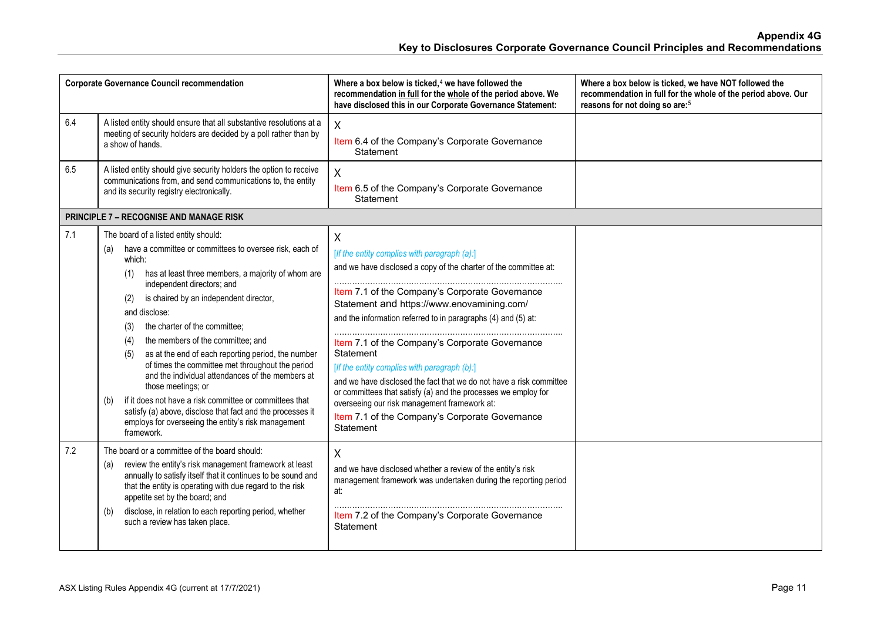|     | <b>Corporate Governance Council recommendation</b>                                                                                                                                                                                                                                                                                                                                                                                                                                                                                                                                                                                                                                                                                                                | Where a box below is ticked, $4$ we have followed the<br>recommendation in full for the whole of the period above. We<br>have disclosed this in our Corporate Governance Statement:                                                                                                                                                                                                                                                                                                                                                                                                                                                                           | Where a box below is ticked, we have NOT followed the<br>recommendation in full for the whole of the period above. Our<br>reasons for not doing so are: <sup>5</sup> |
|-----|-------------------------------------------------------------------------------------------------------------------------------------------------------------------------------------------------------------------------------------------------------------------------------------------------------------------------------------------------------------------------------------------------------------------------------------------------------------------------------------------------------------------------------------------------------------------------------------------------------------------------------------------------------------------------------------------------------------------------------------------------------------------|---------------------------------------------------------------------------------------------------------------------------------------------------------------------------------------------------------------------------------------------------------------------------------------------------------------------------------------------------------------------------------------------------------------------------------------------------------------------------------------------------------------------------------------------------------------------------------------------------------------------------------------------------------------|----------------------------------------------------------------------------------------------------------------------------------------------------------------------|
| 6.4 | A listed entity should ensure that all substantive resolutions at a<br>meeting of security holders are decided by a poll rather than by<br>a show of hands.                                                                                                                                                                                                                                                                                                                                                                                                                                                                                                                                                                                                       | X<br>Item 6.4 of the Company's Corporate Governance<br>Statement                                                                                                                                                                                                                                                                                                                                                                                                                                                                                                                                                                                              |                                                                                                                                                                      |
| 6.5 | A listed entity should give security holders the option to receive<br>communications from, and send communications to, the entity<br>and its security registry electronically.                                                                                                                                                                                                                                                                                                                                                                                                                                                                                                                                                                                    | X<br>Item 6.5 of the Company's Corporate Governance<br>Statement                                                                                                                                                                                                                                                                                                                                                                                                                                                                                                                                                                                              |                                                                                                                                                                      |
|     | <b>PRINCIPLE 7 - RECOGNISE AND MANAGE RISK</b>                                                                                                                                                                                                                                                                                                                                                                                                                                                                                                                                                                                                                                                                                                                    |                                                                                                                                                                                                                                                                                                                                                                                                                                                                                                                                                                                                                                                               |                                                                                                                                                                      |
| 7.1 | The board of a listed entity should:<br>have a committee or committees to oversee risk, each of<br>(a)<br>which:<br>has at least three members, a majority of whom are<br>(1)<br>independent directors; and<br>is chaired by an independent director,<br>(2)<br>and disclose:<br>the charter of the committee;<br>(3)<br>the members of the committee; and<br>(4)<br>as at the end of each reporting period, the number<br>(5)<br>of times the committee met throughout the period<br>and the individual attendances of the members at<br>those meetings; or<br>if it does not have a risk committee or committees that<br>(b)<br>satisfy (a) above, disclose that fact and the processes it<br>employs for overseeing the entity's risk management<br>framework. | X<br>[If the entity complies with paragraph (a):]<br>and we have disclosed a copy of the charter of the committee at:<br>Item 7.1 of the Company's Corporate Governance<br>Statement and https://www.enovamining.com/<br>and the information referred to in paragraphs (4) and (5) at:<br>Item 7.1 of the Company's Corporate Governance<br>Statement<br>[If the entity complies with paragraph (b):]<br>and we have disclosed the fact that we do not have a risk committee<br>or committees that satisfy (a) and the processes we employ for<br>overseeing our risk management framework at:<br>Item 7.1 of the Company's Corporate Governance<br>Statement |                                                                                                                                                                      |
| 7.2 | The board or a committee of the board should:<br>review the entity's risk management framework at least<br>(a)<br>annually to satisfy itself that it continues to be sound and<br>that the entity is operating with due regard to the risk<br>appetite set by the board; and<br>disclose, in relation to each reporting period, whether<br>(b)<br>such a review has taken place.                                                                                                                                                                                                                                                                                                                                                                                  | Χ<br>and we have disclosed whether a review of the entity's risk<br>management framework was undertaken during the reporting period<br>at:<br>Item 7.2 of the Company's Corporate Governance<br>Statement                                                                                                                                                                                                                                                                                                                                                                                                                                                     |                                                                                                                                                                      |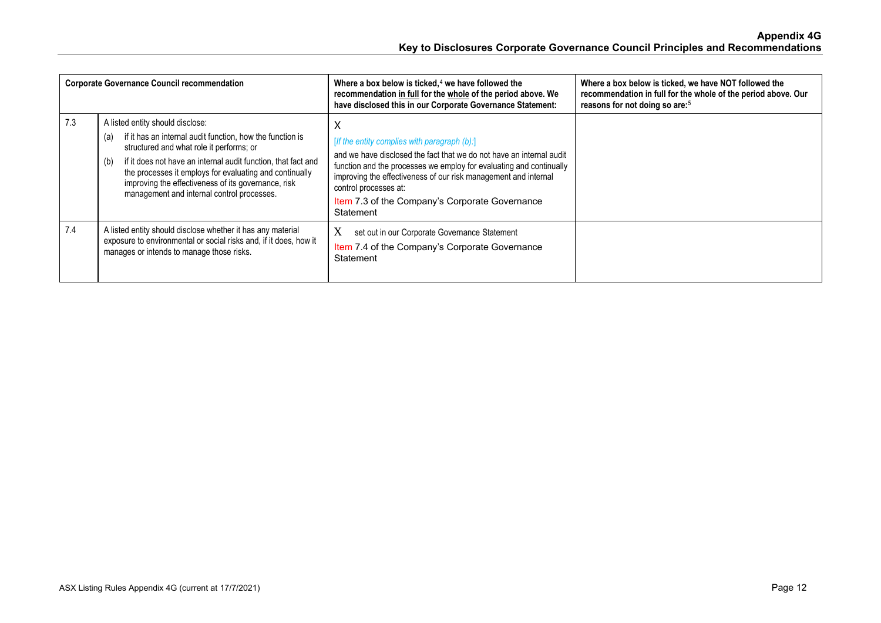|     | <b>Corporate Governance Council recommendation</b>                                                                                                                                                                                                                                                                                                                                       | Where a box below is ticked, $4$ we have followed the<br>recommendation in full for the whole of the period above. We<br>have disclosed this in our Corporate Governance Statement:                                                                                                                                                                         | Where a box below is ticked, we have NOT followed the<br>recommendation in full for the whole of the period above. Our<br>reasons for not doing so are: <sup>5</sup> |
|-----|------------------------------------------------------------------------------------------------------------------------------------------------------------------------------------------------------------------------------------------------------------------------------------------------------------------------------------------------------------------------------------------|-------------------------------------------------------------------------------------------------------------------------------------------------------------------------------------------------------------------------------------------------------------------------------------------------------------------------------------------------------------|----------------------------------------------------------------------------------------------------------------------------------------------------------------------|
| 7.3 | A listed entity should disclose:<br>if it has an internal audit function, how the function is<br>(a)<br>structured and what role it performs; or<br>if it does not have an internal audit function, that fact and<br>(b)<br>the processes it employs for evaluating and continually<br>improving the effectiveness of its governance, risk<br>management and internal control processes. | х<br>[If the entity complies with paragraph (b):]<br>and we have disclosed the fact that we do not have an internal audit<br>function and the processes we employ for evaluating and continually<br>improving the effectiveness of our risk management and internal<br>control processes at:<br>Item 7.3 of the Company's Corporate Governance<br>Statement |                                                                                                                                                                      |
| 7.4 | A listed entity should disclose whether it has any material<br>exposure to environmental or social risks and, if it does, how it<br>manages or intends to manage those risks.                                                                                                                                                                                                            | X<br>set out in our Corporate Governance Statement<br>Item 7.4 of the Company's Corporate Governance<br>Statement                                                                                                                                                                                                                                           |                                                                                                                                                                      |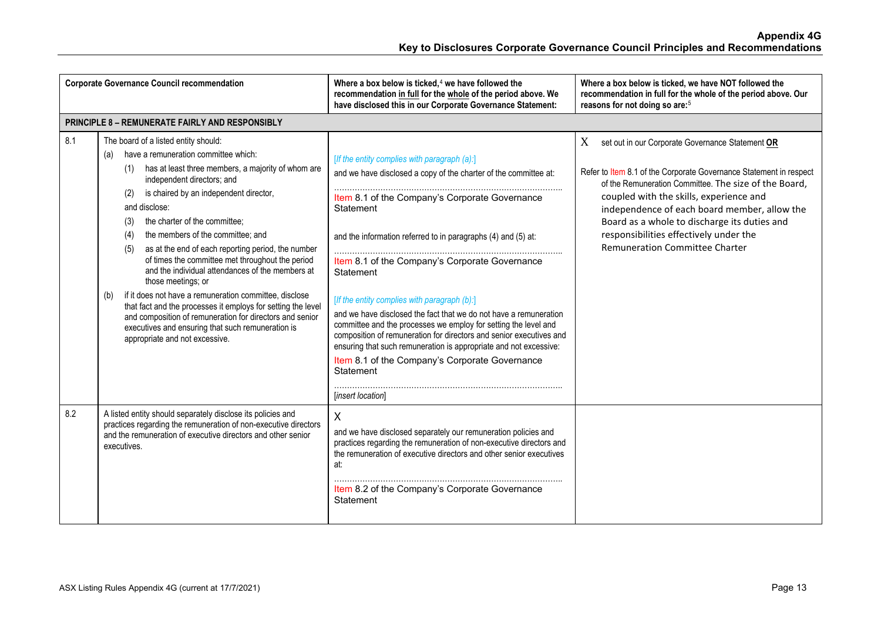|     | <b>Corporate Governance Council recommendation</b>                                                                                                                                                                                                                                                                                                                                                                                                                                                                                                                                                                                                                                                                                                                                                                  | Where a box below is ticked, $4$ we have followed the<br>recommendation in full for the whole of the period above. We<br>have disclosed this in our Corporate Governance Statement:                                                                                                                                                                                                                                                                                                                                                                                                                                                                                                                                                     | Where a box below is ticked, we have NOT followed the<br>recommendation in full for the whole of the period above. Our<br>reasons for not doing so are: <sup>5</sup>                                                                                                                                                                                                                                        |
|-----|---------------------------------------------------------------------------------------------------------------------------------------------------------------------------------------------------------------------------------------------------------------------------------------------------------------------------------------------------------------------------------------------------------------------------------------------------------------------------------------------------------------------------------------------------------------------------------------------------------------------------------------------------------------------------------------------------------------------------------------------------------------------------------------------------------------------|-----------------------------------------------------------------------------------------------------------------------------------------------------------------------------------------------------------------------------------------------------------------------------------------------------------------------------------------------------------------------------------------------------------------------------------------------------------------------------------------------------------------------------------------------------------------------------------------------------------------------------------------------------------------------------------------------------------------------------------------|-------------------------------------------------------------------------------------------------------------------------------------------------------------------------------------------------------------------------------------------------------------------------------------------------------------------------------------------------------------------------------------------------------------|
|     | <b>PRINCIPLE 8 - REMUNERATE FAIRLY AND RESPONSIBLY</b>                                                                                                                                                                                                                                                                                                                                                                                                                                                                                                                                                                                                                                                                                                                                                              |                                                                                                                                                                                                                                                                                                                                                                                                                                                                                                                                                                                                                                                                                                                                         |                                                                                                                                                                                                                                                                                                                                                                                                             |
| 8.1 | The board of a listed entity should:<br>have a remuneration committee which:<br>(a)<br>has at least three members, a majority of whom are<br>(1)<br>independent directors; and<br>is chaired by an independent director,<br>(2)<br>and disclose:<br>the charter of the committee;<br>(3)<br>the members of the committee; and<br>(4)<br>(5)<br>as at the end of each reporting period, the number<br>of times the committee met throughout the period<br>and the individual attendances of the members at<br>those meetings; or<br>if it does not have a remuneration committee, disclose<br>(b)<br>that fact and the processes it employs for setting the level<br>and composition of remuneration for directors and senior<br>executives and ensuring that such remuneration is<br>appropriate and not excessive. | [If the entity complies with paragraph (a):]<br>and we have disclosed a copy of the charter of the committee at:<br>Item 8.1 of the Company's Corporate Governance<br>Statement<br>and the information referred to in paragraphs (4) and (5) at:<br>Item 8.1 of the Company's Corporate Governance<br>Statement<br>[If the entity complies with paragraph (b):]<br>and we have disclosed the fact that we do not have a remuneration<br>committee and the processes we employ for setting the level and<br>composition of remuneration for directors and senior executives and<br>ensuring that such remuneration is appropriate and not excessive:<br>Item 8.1 of the Company's Corporate Governance<br>Statement<br>[insert location] | X<br>set out in our Corporate Governance Statement OR<br>Refer to Item 8.1 of the Corporate Governance Statement in respect<br>of the Remuneration Committee. The size of the Board,<br>coupled with the skills, experience and<br>independence of each board member, allow the<br>Board as a whole to discharge its duties and<br>responsibilities effectively under the<br>Remuneration Committee Charter |
| 8.2 | A listed entity should separately disclose its policies and<br>practices regarding the remuneration of non-executive directors<br>and the remuneration of executive directors and other senior<br>executives.                                                                                                                                                                                                                                                                                                                                                                                                                                                                                                                                                                                                       | X<br>and we have disclosed separately our remuneration policies and<br>practices regarding the remuneration of non-executive directors and<br>the remuneration of executive directors and other senior executives<br>at:<br>Item 8.2 of the Company's Corporate Governance<br>Statement                                                                                                                                                                                                                                                                                                                                                                                                                                                 |                                                                                                                                                                                                                                                                                                                                                                                                             |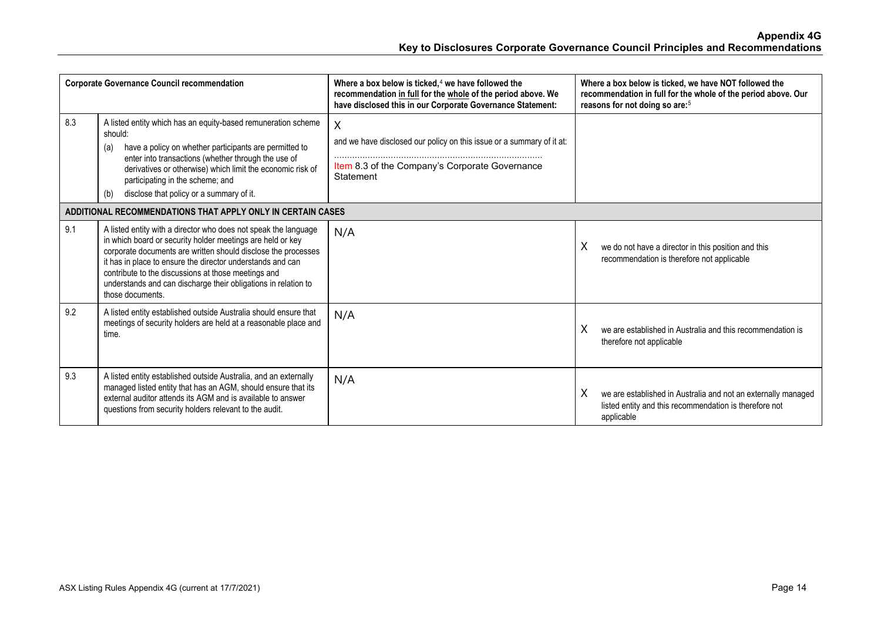| <b>Corporate Governance Council recommendation</b>          |                                                                                                                                                                                                                                                                                                                                                                                                           | Where a box below is ticked. $4$ we have followed the<br>recommendation in full for the whole of the period above. We<br>have disclosed this in our Corporate Governance Statement: | Where a box below is ticked, we have NOT followed the<br>recommendation in full for the whole of the period above. Our<br>reasons for not doing so are: <sup>5</sup> |  |  |  |
|-------------------------------------------------------------|-----------------------------------------------------------------------------------------------------------------------------------------------------------------------------------------------------------------------------------------------------------------------------------------------------------------------------------------------------------------------------------------------------------|-------------------------------------------------------------------------------------------------------------------------------------------------------------------------------------|----------------------------------------------------------------------------------------------------------------------------------------------------------------------|--|--|--|
| 8.3                                                         | A listed entity which has an equity-based remuneration scheme<br>should:<br>have a policy on whether participants are permitted to<br>(a)<br>enter into transactions (whether through the use of<br>derivatives or otherwise) which limit the economic risk of<br>participating in the scheme; and<br>disclose that policy or a summary of it.<br>(b)                                                     | X<br>and we have disclosed our policy on this issue or a summary of it at:<br>Item 8.3 of the Company's Corporate Governance<br>Statement                                           |                                                                                                                                                                      |  |  |  |
| ADDITIONAL RECOMMENDATIONS THAT APPLY ONLY IN CERTAIN CASES |                                                                                                                                                                                                                                                                                                                                                                                                           |                                                                                                                                                                                     |                                                                                                                                                                      |  |  |  |
| 9.1                                                         | A listed entity with a director who does not speak the language<br>in which board or security holder meetings are held or key<br>corporate documents are written should disclose the processes<br>it has in place to ensure the director understands and can<br>contribute to the discussions at those meetings and<br>understands and can discharge their obligations in relation to<br>those documents. | N/A                                                                                                                                                                                 | Χ<br>we do not have a director in this position and this<br>recommendation is therefore not applicable                                                               |  |  |  |
| 9.2                                                         | A listed entity established outside Australia should ensure that<br>meetings of security holders are held at a reasonable place and<br>time.                                                                                                                                                                                                                                                              | N/A                                                                                                                                                                                 | X<br>we are established in Australia and this recommendation is<br>therefore not applicable                                                                          |  |  |  |
| 9.3                                                         | A listed entity established outside Australia, and an externally<br>managed listed entity that has an AGM, should ensure that its<br>external auditor attends its AGM and is available to answer<br>questions from security holders relevant to the audit.                                                                                                                                                | N/A                                                                                                                                                                                 | X<br>we are established in Australia and not an externally managed<br>listed entity and this recommendation is therefore not<br>applicable                           |  |  |  |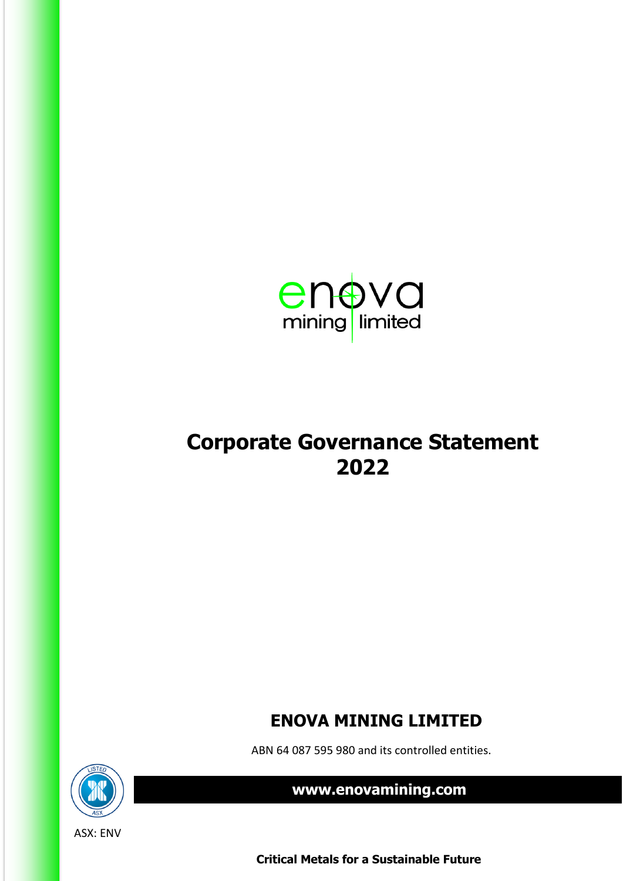

# **Corporate Governance Statement 2022**

# **ENOVA MINING LIMITED**

ABN 64 087 595 980 and its controlled entities.



 **www.enovamining.com**

 **Critical Metals for a Sustainable Future**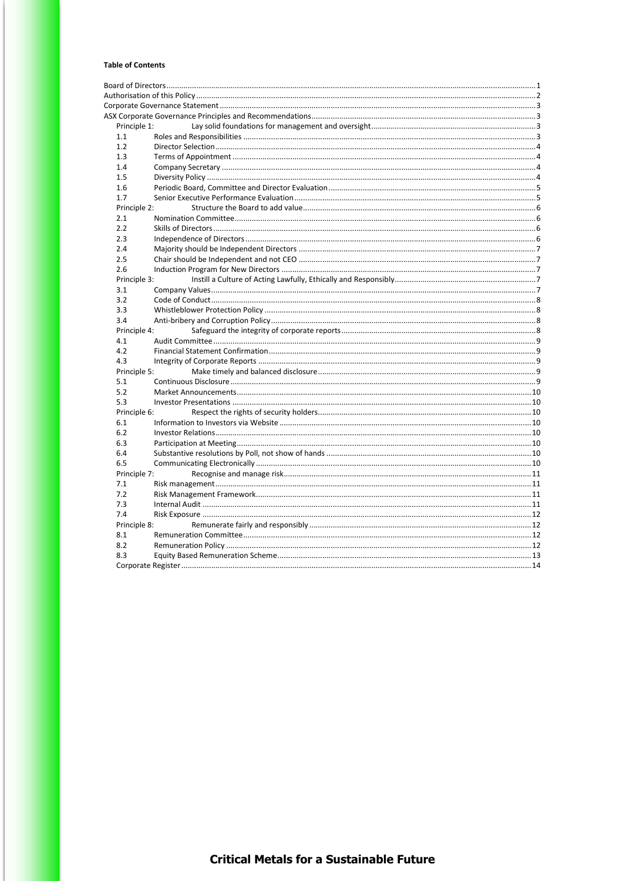#### **Table of Contents**

| Principle 1: |  |  |  |
|--------------|--|--|--|
| 1.1          |  |  |  |
| 1.2          |  |  |  |
| 1.3          |  |  |  |
| 1.4          |  |  |  |
| 1.5          |  |  |  |
| 1.6          |  |  |  |
| 1.7          |  |  |  |
| Principle 2: |  |  |  |
| 2.1          |  |  |  |
| 2.2          |  |  |  |
| 2.3          |  |  |  |
| 2.4          |  |  |  |
| 2.5          |  |  |  |
| 2.6          |  |  |  |
| Principle 3: |  |  |  |
| 3.1          |  |  |  |
| 3.2          |  |  |  |
| 3.3          |  |  |  |
| 3.4          |  |  |  |
| Principle 4: |  |  |  |
| 4.1          |  |  |  |
| 4.2          |  |  |  |
| 4.3          |  |  |  |
| Principle 5: |  |  |  |
| 5.1          |  |  |  |
| 5.2          |  |  |  |
| 5.3          |  |  |  |
| Principle 6: |  |  |  |
| 6.1          |  |  |  |
| 6.2          |  |  |  |
| 6.3          |  |  |  |
| 6.4          |  |  |  |
| 6.5          |  |  |  |
| Principle 7: |  |  |  |
| 7.1          |  |  |  |
| 7.2          |  |  |  |
| 7.3          |  |  |  |
| 7.4          |  |  |  |
| Principle 8: |  |  |  |
| 8.1          |  |  |  |
| 8.2          |  |  |  |
| 8.3          |  |  |  |
|              |  |  |  |
|              |  |  |  |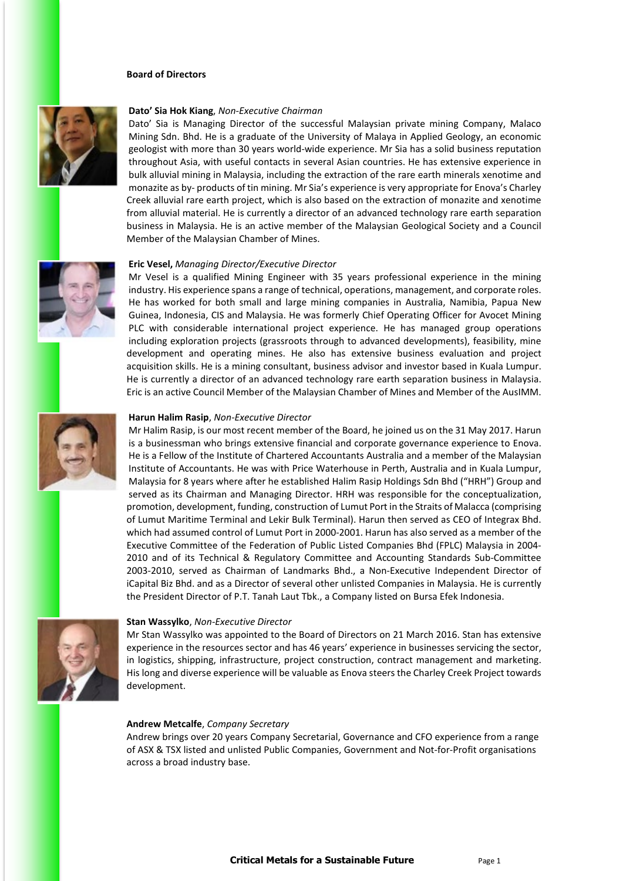#### **Board of Directors**

<span id="page-16-0"></span>

#### **Dato' Sia Hok Kiang**, *Non-Executive Chairman*

Dato' Sia is Managing Director of the successful Malaysian private mining Company, Malaco Mining Sdn. Bhd. He is a graduate of the University of Malaya in Applied Geology, an economic geologist with more than 30 years world-wide experience. Mr Sia has a solid business reputation throughout Asia, with useful contacts in several Asian countries. He has extensive experience in bulk alluvial mining in Malaysia, including the extraction of the rare earth minerals xenotime and monazite as by- products of tin mining. Mr Sia's experience is very appropriate for Enova's Charley Creek alluvial rare earth project, which is also based on the extraction of monazite and xenotime from alluvial material. He is currently a director of an advanced technology rare earth separation business in Malaysia. He is an active member of the Malaysian Geological Society and a Council Member of the Malaysian Chamber of Mines.



#### **Eric Vesel,** *Managing Director/Executive Director*

Mr Vesel is a qualified Mining Engineer with 35 years professional experience in the mining industry. His experience spans a range of technical, operations, management, and corporate roles. He has worked for both small and large mining companies in Australia, Namibia, Papua New Guinea, Indonesia, CIS and Malaysia. He was formerly Chief Operating Officer for Avocet Mining PLC with considerable international project experience. He has managed group operations including exploration projects (grassroots through to advanced developments), feasibility, mine development and operating mines. He also has extensive business evaluation and project acquisition skills. He is a mining consultant, business advisor and investor based in Kuala Lumpur. He is currently a director of an advanced technology rare earth separation business in Malaysia. Eric is an active Council Member of the Malaysian Chamber of Mines and Member of the AusIMM.



#### **Harun Halim Rasip**, *Non-Executive Director*

Mr Halim Rasip, is our most recent member of the Board, he joined us on the 31 May 2017. Harun is a businessman who brings extensive financial and corporate governance experience to Enova. He is a Fellow of the Institute of Chartered Accountants Australia and a member of the Malaysian Institute of Accountants. He was with Price Waterhouse in Perth, Australia and in Kuala Lumpur, Malaysia for 8 years where after he established Halim Rasip Holdings Sdn Bhd ("HRH") Group and served as its Chairman and Managing Director. HRH was responsible for the conceptualization, promotion, development, funding, construction of Lumut Port in the Straits of Malacca (comprising of Lumut Maritime Terminal and Lekir Bulk Terminal). Harun then served as CEO of Integrax Bhd. which had assumed control of Lumut Port in 2000-2001. Harun has also served as a member of the Executive Committee of the Federation of Public Listed Companies Bhd (FPLC) Malaysia in 2004- 2010 and of its Technical & Regulatory Committee and Accounting Standards Sub-Committee 2003-2010, served as Chairman of Landmarks Bhd., a Non-Executive Independent Director of iCapital Biz Bhd. and as a Director of several other unlisted Companies in Malaysia. He is currently the President Director of P.T. Tanah Laut Tbk., a Company listed on Bursa Efek Indonesia.



#### **Stan Wassylko**, *Non-Executive Director*

Mr Stan Wassylko was appointed to the Board of Directors on 21 March 2016. Stan has extensive experience in the resources sector and has 46 years' experience in businesses servicing the sector, in logistics, shipping, infrastructure, project construction, contract management and marketing. His long and diverse experience will be valuable as Enova steers the Charley Creek Project towards development.

#### **Andrew Metcalfe**, *Company Secretary*

Andrew brings over 20 years Company Secretarial, Governance and CFO experience from a range of ASX & TSX listed and unlisted Public Companies, Government and Not-for-Profit organisations across a broad industry base.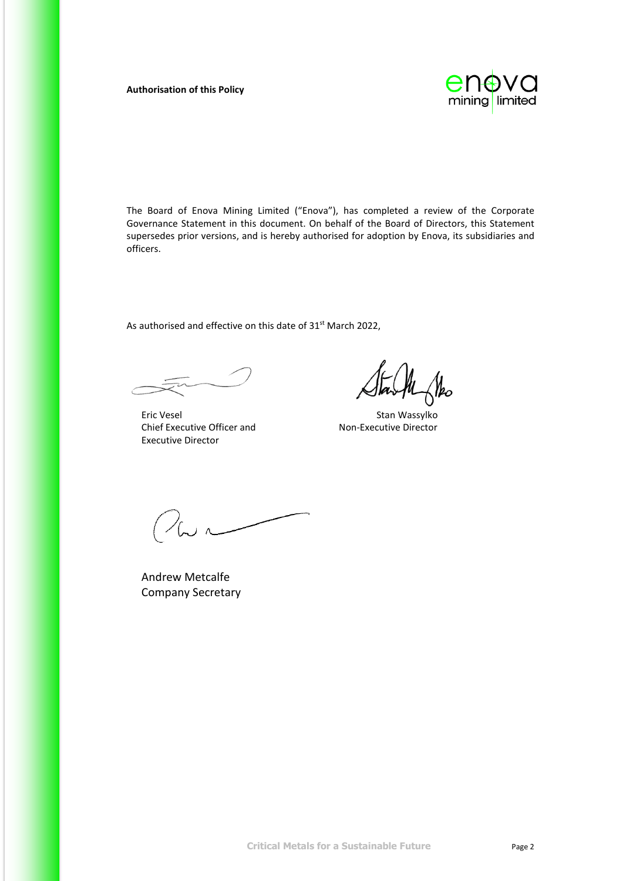#### <span id="page-17-0"></span>**Authorisation of this Policy**



The Board of Enova Mining Limited ("Enova"), has completed a review of the Corporate Governance Statement in this document. On behalf of the Board of Directors, this Statement supersedes prior versions, and is hereby authorised for adoption by Enova, its subsidiaries and officers.

As authorised and effective on this date of 31<sup>st</sup> March 2022,

Eric Vesel **Stan Wassylko** Chief Executive Officer and Non-Executive Director Executive Director

 $\mathcal{V}_{\mathbf{\mathit{bo}}}$ 

 $\sim$ 

Andrew Metcalfe Company Secretary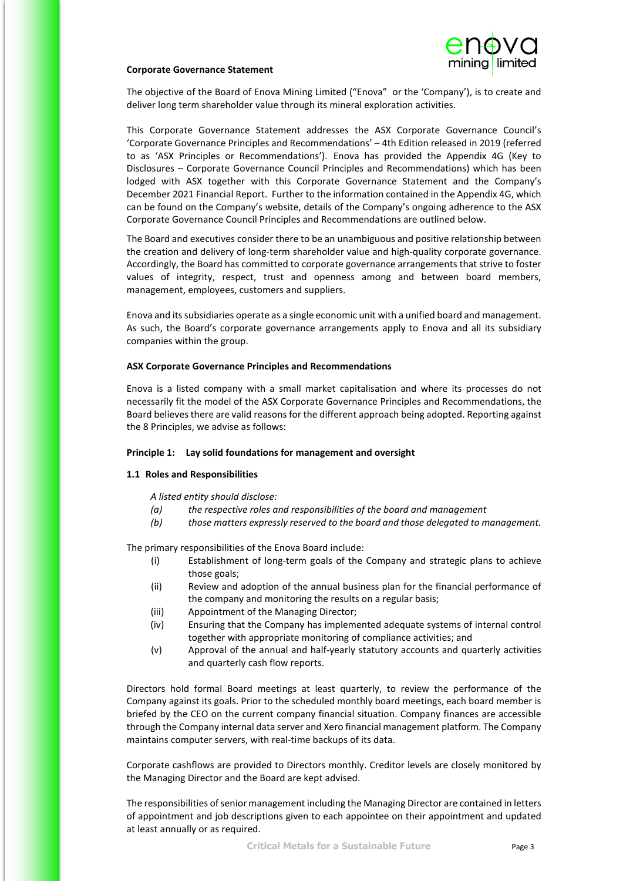

#### <span id="page-18-0"></span>**Corporate Governance Statement**

The objective of the Board of Enova Mining Limited ("Enova" or the 'Company'), is to create and deliver long term shareholder value through its mineral exploration activities.

This Corporate Governance Statement addresses the ASX Corporate Governance Council's 'Corporate Governance Principles and Recommendations' – 4th Edition released in 2019 (referred to as 'ASX Principles or Recommendations'). Enova has provided the Appendix 4G (Key to Disclosures – Corporate Governance Council Principles and Recommendations) which has been lodged with ASX together with this Corporate Governance Statement and the Company's December 2021 Financial Report. Further to the information contained in the Appendix 4G, which can be found on the Company's website, details of the Company's ongoing adherence to the ASX Corporate Governance Council Principles and Recommendations are outlined below.

The Board and executives consider there to be an unambiguous and positive relationship between the creation and delivery of long-term shareholder value and high-quality corporate governance. Accordingly, the Board has committed to corporate governance arrangements that strive to foster values of integrity, respect, trust and openness among and between board members, management, employees, customers and suppliers.

Enova and its subsidiaries operate as a single economic unit with a unified board and management. As such, the Board's corporate governance arrangements apply to Enova and all its subsidiary companies within the group.

#### <span id="page-18-1"></span>**ASX Corporate Governance Principles and Recommendations**

Enova is a listed company with a small market capitalisation and where its processes do not necessarily fit the model of the ASX Corporate Governance Principles and Recommendations, the Board believes there are valid reasons for the different approach being adopted. Reporting against the 8 Principles, we advise as follows:

#### <span id="page-18-2"></span>**Principle 1: Lay solid foundations for management and oversight**

#### <span id="page-18-3"></span>**1.1 Roles and Responsibilities**

*A listed entity should disclose:*

- *(a) the respective roles and responsibilities of the board and management*
- *(b) those matters expressly reserved to the board and those delegated to management.*

The primary responsibilities of the Enova Board include:

- (i) Establishment of long-term goals of the Company and strategic plans to achieve those goals;
- (ii) Review and adoption of the annual business plan for the financial performance of the company and monitoring the results on a regular basis;
- (iii) Appointment of the Managing Director;
- (iv) Ensuring that the Company has implemented adequate systems of internal control together with appropriate monitoring of compliance activities; and
- (v) Approval of the annual and half-yearly statutory accounts and quarterly activities and quarterly cash flow reports.

Directors hold formal Board meetings at least quarterly, to review the performance of the Company against its goals. Prior to the scheduled monthly board meetings, each board member is briefed by the CEO on the current company financial situation. Company finances are accessible through the Company internal data server and Xero financial management platform. The Company maintains computer servers, with real-time backups of its data.

Corporate cashflows are provided to Directors monthly. Creditor levels are closely monitored by the Managing Director and the Board are kept advised.

The responsibilities of senior management including the Managing Director are contained in letters of appointment and job descriptions given to each appointee on their appointment and updated at least annually or as required.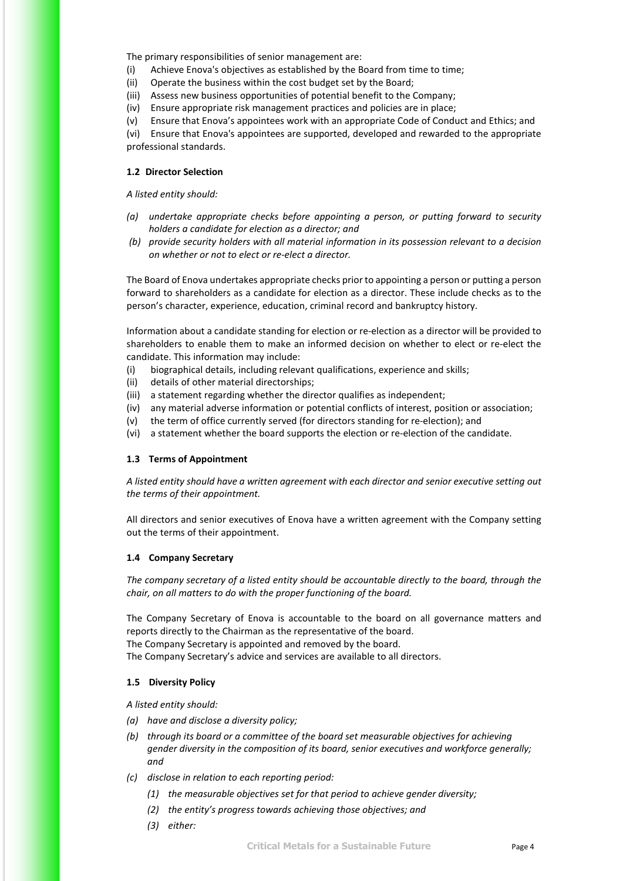The primary responsibilities of senior management are:

(i) Achieve Enova's objectives as established by the Board from time to time;

(ii) Operate the business within the cost budget set by the Board;

(iii) Assess new business opportunities of potential benefit to the Company;

(iv) Ensure appropriate risk management practices and policies are in place;

(v) Ensure that Enova's appointees work with an appropriate Code of Conduct and Ethics; and

(vi) Ensure that Enova's appointees are supported, developed and rewarded to the appropriate professional standards.

#### <span id="page-19-0"></span>**1.2 Director Selection**

*A listed entity should:*

- *(a) undertake appropriate checks before appointing a person, or putting forward to security holders a candidate for election as a director; and*
- *(b) provide security holders with all material information in its possession relevant to a decision on whether or not to elect or re-elect a director.*

The Board of Enova undertakes appropriate checks prior to appointing a person or putting a person forward to shareholders as a candidate for election as a director. These include checks as to the person's character, experience, education, criminal record and bankruptcy history.

Information about a candidate standing for election or re-election as a director will be provided to shareholders to enable them to make an informed decision on whether to elect or re-elect the candidate. This information may include:

- (i) biographical details, including relevant qualifications, experience and skills;
- (ii) details of other material directorships;
- (iii) a statement regarding whether the director qualifies as independent;
- (iv) any material adverse information or potential conflicts of interest, position or association;
- (v) the term of office currently served (for directors standing for re-election); and
- (vi) a statement whether the board supports the election or re-election of the candidate.

#### <span id="page-19-1"></span>**1.3 Terms of Appointment**

*A listed entity should have a written agreement with each director and senior executive setting out the terms of their appointment.*

All directors and senior executives of Enova have a written agreement with the Company setting out the terms of their appointment.

#### <span id="page-19-2"></span>**1.4 Company Secretary**

*The company secretary of a listed entity should be accountable directly to the board, through the chair, on all matters to do with the proper functioning of the board.*

The Company Secretary of Enova is accountable to the board on all governance matters and reports directly to the Chairman as the representative of the board.

The Company Secretary is appointed and removed by the board.

The Company Secretary's advice and services are available to all directors.

#### <span id="page-19-3"></span>**1.5 Diversity Policy**

*A listed entity should:*

- *(a) have and disclose a diversity policy;*
- *(b) through its board or a committee of the board set measurable objectives for achieving gender diversity in the composition of its board, senior executives and workforce generally; and*
- *(c) disclose in relation to each reporting period:*
	- *(1) the measurable objectives set for that period to achieve gender diversity;*
	- *(2) the entity's progress towards achieving those objectives; and*
	- *(3) either:*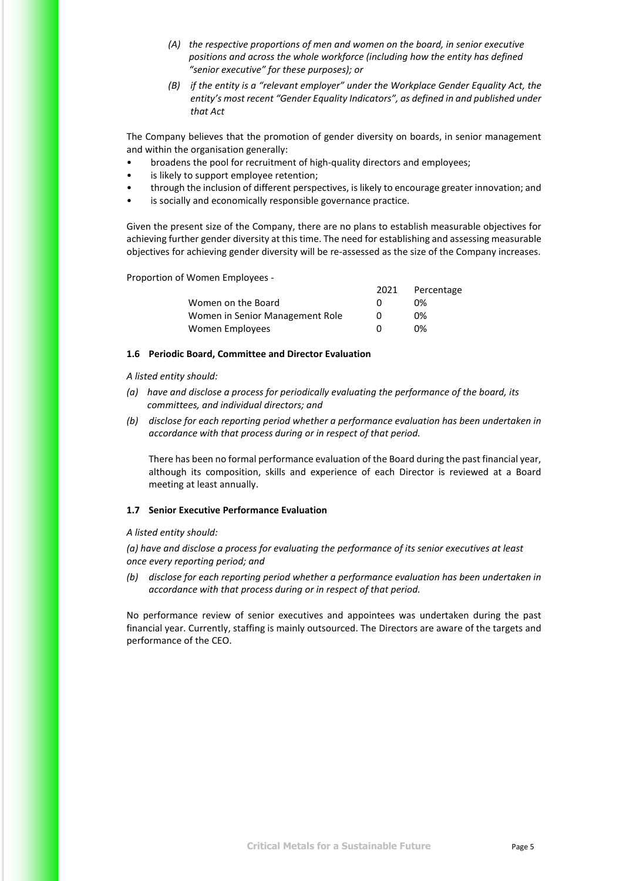- *(A) the respective proportions of men and women on the board, in senior executive positions and across the whole workforce (including how the entity has defined "senior executive" for these purposes); or*
- *(B) if the entity is a "relevant employer" under the Workplace Gender Equality Act, the entity's most recent "Gender Equality Indicators", as defined in and published under that Act*

The Company believes that the promotion of gender diversity on boards, in senior management and within the organisation generally:

- broadens the pool for recruitment of high-quality directors and employees;
- is likely to support employee retention;
- through the inclusion of different perspectives, is likely to encourage greater innovation; and
- is socially and economically responsible governance practice.

Given the present size of the Company, there are no plans to establish measurable objectives for achieving further gender diversity at this time. The need for establishing and assessing measurable objectives for achieving gender diversity will be re-assessed as the size of the Company increases.

Proportion of Women Employees -

|                                 | 2021         | Percentage |
|---------------------------------|--------------|------------|
| Women on the Board              | $^{(1)}$     | በ%         |
| Women in Senior Management Role | O            | በ%         |
| Women Employees                 | $\mathbf{U}$ | 0%         |

#### <span id="page-20-0"></span>**1.6 Periodic Board, Committee and Director Evaluation**

*A listed entity should:*

- *(a) have and disclose a process for periodically evaluating the performance of the board, its committees, and individual directors; and*
- *(b) disclose for each reporting period whether a performance evaluation has been undertaken in accordance with that process during or in respect of that period.*

There has been no formal performance evaluation of the Board during the past financial year, although its composition, skills and experience of each Director is reviewed at a Board meeting at least annually.

#### <span id="page-20-1"></span>**1.7 Senior Executive Performance Evaluation**

#### *A listed entity should:*

*(a) have and disclose a process for evaluating the performance of its senior executives at least once every reporting period; and*

*(b) disclose for each reporting period whether a performance evaluation has been undertaken in accordance with that process during or in respect of that period.*

No performance review of senior executives and appointees was undertaken during the past financial year. Currently, staffing is mainly outsourced. The Directors are aware of the targets and performance of the CEO.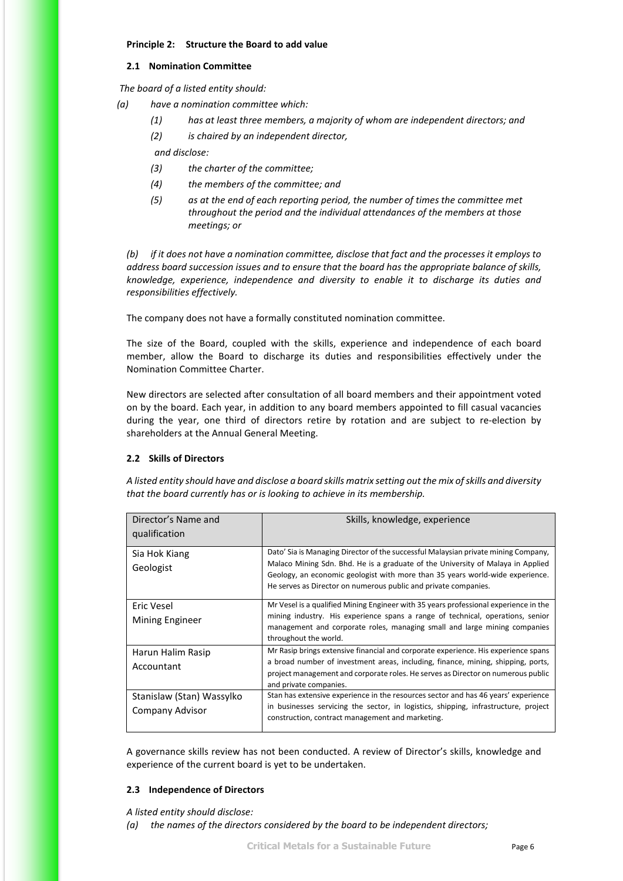#### <span id="page-21-0"></span>**Principle 2: Structure the Board to add value**

#### **2.1 Nomination Committee**

<span id="page-21-1"></span>*The board of a listed entity should:*

- *(a) have a nomination committee which:*
	- *(1) has at least three members, a majority of whom are independent directors; and*
	- *(2) is chaired by an independent director,*

*and disclose:*

- *(3) the charter of the committee;*
- *(4) the members of the committee; and*
- *(5) as at the end of each reporting period, the number of times the committee met throughout the period and the individual attendances of the members at those meetings; or*

*(b) if it does not have a nomination committee, disclose that fact and the processes it employs to address board succession issues and to ensure that the board has the appropriate balance of skills, knowledge, experience, independence and diversity to enable it to discharge its duties and responsibilities effectively.*

The company does not have a formally constituted nomination committee.

The size of the Board, coupled with the skills, experience and independence of each board member, allow the Board to discharge its duties and responsibilities effectively under the Nomination Committee Charter.

New directors are selected after consultation of all board members and their appointment voted on by the board. Each year, in addition to any board members appointed to fill casual vacancies during the year, one third of directors retire by rotation and are subject to re-election by shareholders at the Annual General Meeting.

#### <span id="page-21-2"></span>**2.2 Skills of Directors**

*A listed entity should have and disclose a board skills matrix setting out the mix of skills and diversity that the board currently has or is looking to achieve in its membership.*

| Director's Name and<br>qualification         | Skills, knowledge, experience                                                                                                                                                                                                                                                                                             |
|----------------------------------------------|---------------------------------------------------------------------------------------------------------------------------------------------------------------------------------------------------------------------------------------------------------------------------------------------------------------------------|
| Sia Hok Kiang<br>Geologist                   | Dato' Sia is Managing Director of the successful Malaysian private mining Company,<br>Malaco Mining Sdn. Bhd. He is a graduate of the University of Malaya in Applied<br>Geology, an economic geologist with more than 35 years world-wide experience.<br>He serves as Director on numerous public and private companies. |
| Eric Vesel<br>Mining Engineer                | Mr Vesel is a qualified Mining Engineer with 35 years professional experience in the<br>mining industry. His experience spans a range of technical, operations, senior<br>management and corporate roles, managing small and large mining companies<br>throughout the world.                                              |
| Harun Halim Rasip<br>Accountant              | Mr Rasip brings extensive financial and corporate experience. His experience spans<br>a broad number of investment areas, including, finance, mining, shipping, ports,<br>project management and corporate roles. He serves as Director on numerous public<br>and private companies.                                      |
| Stanislaw (Stan) Wassylko<br>Company Advisor | Stan has extensive experience in the resources sector and has 46 years' experience<br>in businesses servicing the sector, in logistics, shipping, infrastructure, project<br>construction, contract management and marketing.                                                                                             |

A governance skills review has not been conducted. A review of Director's skills, knowledge and experience of the current board is yet to be undertaken.

#### <span id="page-21-3"></span>**2.3 Independence of Directors**

*A listed entity should disclose:*

*(a) the names of the directors considered by the board to be independent directors;*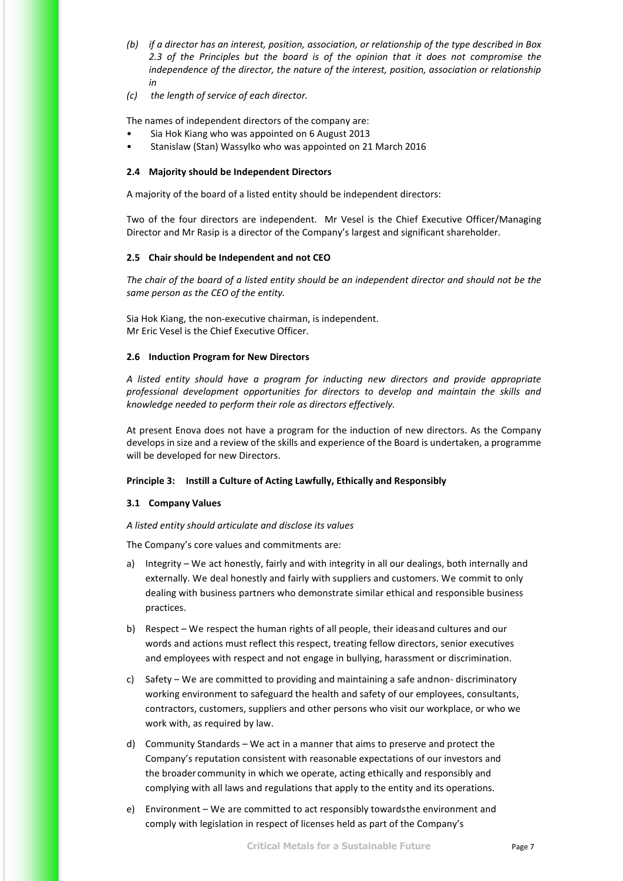- *(b) if a director has an interest, position, association, or relationship of the type described in Box 2.3 of the Principles but the board is of the opinion that it does not compromise the independence of the director, the nature of the interest, position, association or relationship in*
- *(c) the length of service of each director.*

The names of independent directors of the company are:

- Sia Hok Kiang who was appointed on 6 August 2013
- Stanislaw (Stan) Wassylko who was appointed on 21 March 2016

#### <span id="page-22-0"></span>**2.4 Majority should be Independent Directors**

A majority of the board of a listed entity should be independent directors:

Two of the four directors are independent. Mr Vesel is the Chief Executive Officer/Managing Director and Mr Rasip is a director of the Company's largest and significant shareholder.

#### <span id="page-22-1"></span>**2.5 Chair should be Independent and not CEO**

*The chair of the board of a listed entity should be an independent director and should not be the same person as the CEO of the entity.*

Sia Hok Kiang, the non-executive chairman, is independent. Mr Eric Vesel is the Chief Executive Officer.

#### <span id="page-22-2"></span>**2.6 Induction Program for New Directors**

*A listed entity should have a program for inducting new directors and provide appropriate professional development opportunities for directors to develop and maintain the skills and knowledge needed to perform their role as directors effectively.*

At present Enova does not have a program for the induction of new directors. As the Company develops in size and a review of the skills and experience of the Board is undertaken, a programme will be developed for new Directors.

#### <span id="page-22-3"></span>**Principle 3: Instill a Culture of Acting Lawfully, Ethically and Responsibly**

#### <span id="page-22-4"></span>**3.1 Company Values**

#### *A listed entity should articulate and disclose its values*

The Company's core values and commitments are:

- a) Integrity We act honestly, fairly and with integrity in all our dealings, both internally and externally. We deal honestly and fairly with suppliers and customers. We commit to only dealing with business partners who demonstrate similar ethical and responsible business practices.
- b) Respect We respect the human rights of all people, their ideasand cultures and our words and actions must reflect this respect, treating fellow directors, senior executives and employees with respect and not engage in bullying, harassment or discrimination.
- c) Safety We are committed to providing and maintaining a safe andnon- discriminatory working environment to safeguard the health and safety of our employees, consultants, contractors, customers, suppliers and other persons who visit our workplace, or who we work with, as required by law.
- d) Community Standards We act in a manner that aims to preserve and protect the Company's reputation consistent with reasonable expectations of our investors and the broader community in which we operate, acting ethically and responsibly and complying with all laws and regulations that apply to the entity and its operations.
- e) Environment We are committed to act responsibly towardsthe environment and comply with legislation in respect of licenses held as part of the Company's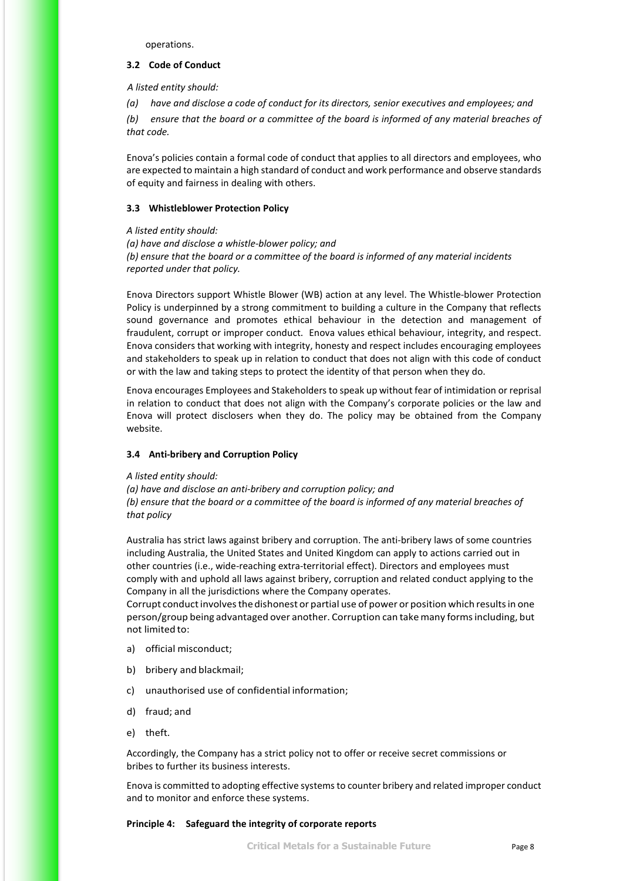operations.

#### <span id="page-23-0"></span>**3.2 Code of Conduct**

*A listed entity should:*

*(a) have and disclose a code of conduct for its directors, senior executives and employees; and*

*(b) ensure that the board or a committee of the board is informed of any material breaches of that code.*

Enova's policies contain a formal code of conduct that applies to all directors and employees, who are expected to maintain a high standard of conduct and work performance and observe standards of equity and fairness in dealing with others.

#### <span id="page-23-1"></span>**3.3 Whistleblower Protection Policy**

*A listed entity should:*

*(a) have and disclose a whistle-blower policy; and (b) ensure that the board or a committee of the board is informed of any material incidents reported under that policy.*

Enova Directors support Whistle Blower (WB) action at any level. The Whistle-blower Protection Policy is underpinned by a strong commitment to building a culture in the Company that reflects sound governance and promotes ethical behaviour in the detection and management of fraudulent, corrupt or improper conduct. Enova values ethical behaviour, integrity, and respect. Enova considers that working with integrity, honesty and respect includes encouraging employees and stakeholders to speak up in relation to conduct that does not align with this code of conduct or with the law and taking steps to protect the identity of that person when they do.

Enova encourages Employees and Stakeholders to speak up without fear of intimidation or reprisal in relation to conduct that does not align with the Company's corporate policies or the law and Enova will protect disclosers when they do. The policy may be obtained from the Company website.

#### <span id="page-23-2"></span>**3.4 Anti-bribery and Corruption Policy**

#### *A listed entity should:*

*(a) have and disclose an anti-bribery and corruption policy; and (b) ensure that the board or a committee of the board is informed of any material breaches of that policy*

Australia has strict laws against bribery and corruption. The anti-bribery laws of some countries including Australia, the United States and United Kingdom can apply to actions carried out in other countries (i.e., wide-reaching extra-territorial effect). Directors and employees must comply with and uphold all laws against bribery, corruption and related conduct applying to the Company in all the jurisdictions where the Company operates.

Corrupt conduct involves the dishonest or partial use of power or position which results in one person/group being advantaged over another. Corruption can takemany formsincluding, but not limited to:

- a) official misconduct;
- b) bribery and blackmail;
- c) unauthorised use of confidential information;
- d) fraud; and
- e) theft.

Accordingly, the Company has a strict policy not to offer or receive secret commissions or bribes to further its business interests.

Enova is committed to adopting effective systems to counter bribery and related improper conduct and to monitor and enforce these systems.

#### <span id="page-23-3"></span>**Principle 4: Safeguard the integrity of corporate reports**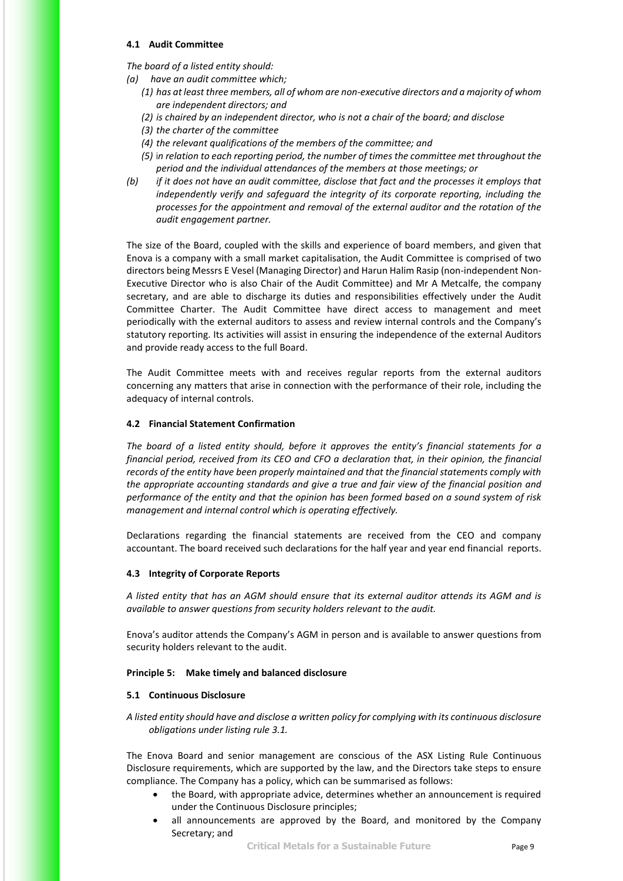#### <span id="page-24-0"></span>**4.1 Audit Committee**

*The board of a listed entity should:*

- *(a) have an audit committee which;*
	- *(1) has at least three members, all of whom are non-executive directors and a majority of whom are independent directors; and*
	- *(2) is chaired by an independent director, who is not a chair of the board; and disclose*
	- *(3) the charter of the committee*
	- *(4) the relevant qualifications of the members of the committee; and*
	- *(5)* i*n relation to each reporting period, the number of times the committee met throughout the period and the individual attendances of the members at those meetings; or*
- *(b) if it does not have an audit committee, disclose that fact and the processes it employs that independently verify and safeguard the integrity of its corporate reporting, including the processes for the appointment and removal of the external auditor and the rotation of the audit engagement partner.*

The size of the Board, coupled with the skills and experience of board members, and given that Enova is a company with a small market capitalisation, the Audit Committee is comprised of two directors being Messrs E Vesel (Managing Director) and Harun Halim Rasip (non-independent Non-Executive Director who is also Chair of the Audit Committee) and Mr A Metcalfe, the company secretary, and are able to discharge its duties and responsibilities effectively under the Audit Committee Charter. The Audit Committee have direct access to management and meet periodically with the external auditors to assess and review internal controls and the Company's statutory reporting. Its activities will assist in ensuring the independence of the external Auditors and provide ready access to the full Board.

The Audit Committee meets with and receives regular reports from the external auditors concerning any matters that arise in connection with the performance of their role, including the adequacy of internal controls.

#### <span id="page-24-1"></span>**4.2 Financial Statement Confirmation**

*The board of a listed entity should, before it approves the entity's financial statements for a financial period, received from its CEO and CFO a declaration that, in their opinion, the financial records of the entity have been properly maintained and that the financial statements comply with the appropriate accounting standards and give a true and fair view of the financial position and performance of the entity and that the opinion has been formed based on a sound system of risk management and internal control which is operating effectively.*

Declarations regarding the financial statements are received from the CEO and company accountant. The board received such declarations for the half year and year end financial reports.

#### <span id="page-24-2"></span>**4.3 Integrity of Corporate Reports**

*A listed entity that has an AGM should ensure that its external auditor attends its AGM and is available to answer questions from security holders relevant to the audit.*

Enova's auditor attends the Company's AGM in person and is available to answer questions from security holders relevant to the audit.

#### <span id="page-24-3"></span>**Principle 5: Make timely and balanced disclosure**

#### <span id="page-24-4"></span>**5.1 Continuous Disclosure**

*A listed entity should have and disclose a written policy for complying with its continuous disclosure obligations under listing rule 3.1.*

The Enova Board and senior management are conscious of the ASX Listing Rule Continuous Disclosure requirements, which are supported by the law, and the Directors take steps to ensure compliance. The Company has a policy, which can be summarised as follows:

- the Board, with appropriate advice, determines whether an announcement is required under the Continuous Disclosure principles;
- all announcements are approved by the Board, and monitored by the Company Secretary; and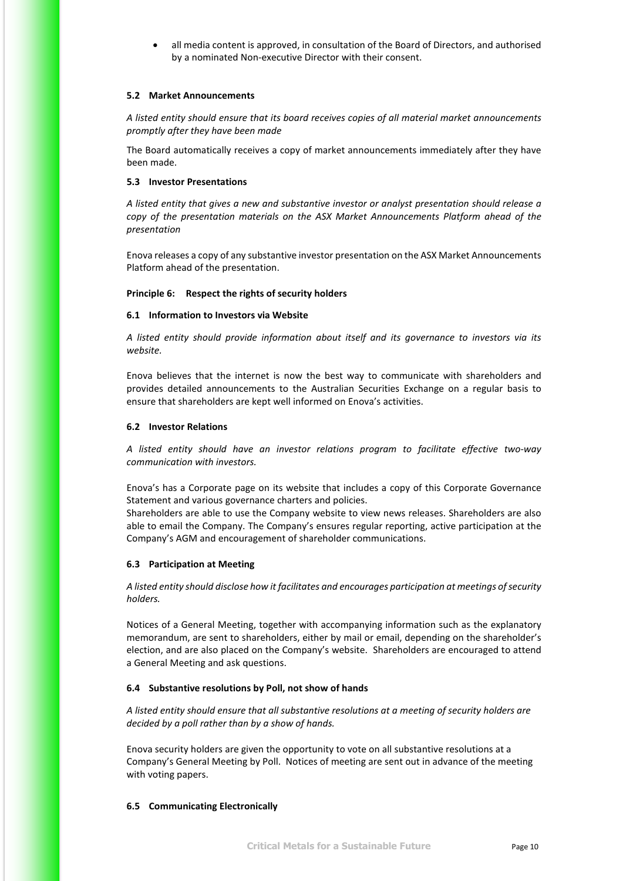• all media content is approved, in consultation of the Board of Directors, and authorised by a nominated Non-executive Director with their consent.

#### <span id="page-25-0"></span>**5.2 Market Announcements**

*A listed entity should ensure that its board receives copies of all material market announcements promptly after they have been made* 

The Board automatically receives a copy of market announcements immediately after they have been made.

#### <span id="page-25-1"></span>**5.3 Investor Presentations**

*A listed entity that gives a new and substantive investor or analyst presentation should release a copy of the presentation materials on the ASX Market Announcements Platform ahead of the presentation* 

Enova releases a copy of any substantive investor presentation on the ASX Market Announcements Platform ahead of the presentation.

#### <span id="page-25-2"></span>**Principle 6: Respect the rights of security holders**

#### <span id="page-25-3"></span>**6.1 Information to Investors via Website**

*A listed entity should provide information about itself and its governance to investors via its website.*

Enova believes that the internet is now the best way to communicate with shareholders and provides detailed announcements to the Australian Securities Exchange on a regular basis to ensure that shareholders are kept well informed on Enova's activities.

#### <span id="page-25-4"></span>**6.2 Investor Relations**

*A listed entity should have an investor relations program to facilitate effective two-way communication with investors.*

Enova's has a Corporate page on its website that includes a copy of this Corporate Governance Statement and various governance charters and policies.

Shareholders are able to use the Company website to view news releases. Shareholders are also able to email the Company. The Company's ensures regular reporting, active participation at the Company's AGM and encouragement of shareholder communications.

#### <span id="page-25-5"></span>**6.3 Participation at Meeting**

*A listed entity should disclose how it facilitates and encourages participation at meetings of security holders.*

Notices of a General Meeting, together with accompanying information such as the explanatory memorandum, are sent to shareholders, either by mail or email, depending on the shareholder's election, and are also placed on the Company's website. Shareholders are encouraged to attend a General Meeting and ask questions.

#### <span id="page-25-6"></span>**6.4 Substantive resolutions by Poll, not show of hands**

*A listed entity should ensure that all substantive resolutions at a meeting of security holders are decided by a poll rather than by a show of hands.*

Enova security holders are given the opportunity to vote on all substantive resolutions at a Company's General Meeting by Poll. Notices of meeting are sent out in advance of the meeting with voting papers.

#### <span id="page-25-7"></span>**6.5 Communicating Electronically**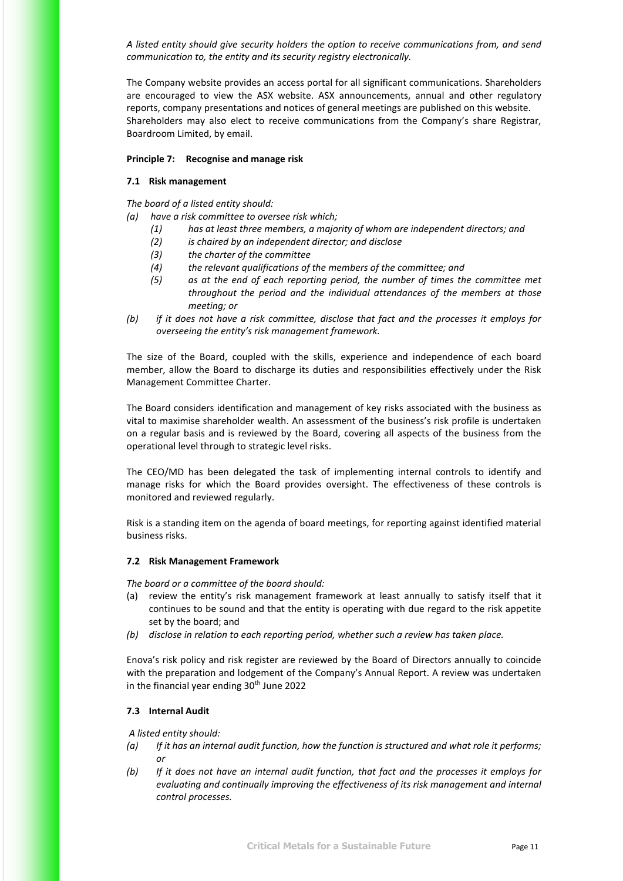*A listed entity should give security holders the option to receive communications from, and send communication to, the entity and its security registry electronically.*

The Company website provides an access portal for all significant communications. Shareholders are encouraged to view the ASX website. ASX announcements, annual and other regulatory reports, company presentations and notices of general meetings are published on this website. Shareholders may also elect to receive communications from the Company's share Registrar, Boardroom Limited, by email.

#### <span id="page-26-0"></span>**Principle 7: Recognise and manage risk**

#### <span id="page-26-1"></span>**7.1 Risk management**

*The board of a listed entity should:*

*(a) have a risk committee to oversee risk which;*

- *(1) has at least three members, a majority of whom are independent directors; and*
- *(2) is chaired by an independent director; and disclose*
- *(3) the charter of the committee*
- *(4) the relevant qualifications of the members of the committee; and*
- *(5) as at the end of each reporting period, the number of times the committee met throughout the period and the individual attendances of the members at those meeting; or*
- *(b) if it does not have a risk committee, disclose that fact and the processes it employs for overseeing the entity's risk management framework.*

The size of the Board, coupled with the skills, experience and independence of each board member, allow the Board to discharge its duties and responsibilities effectively under the Risk Management Committee Charter.

The Board considers identification and management of key risks associated with the business as vital to maximise shareholder wealth. An assessment of the business's risk profile is undertaken on a regular basis and is reviewed by the Board, covering all aspects of the business from the operational level through to strategic level risks.

The CEO/MD has been delegated the task of implementing internal controls to identify and manage risks for which the Board provides oversight. The effectiveness of these controls is monitored and reviewed regularly.

Risk is a standing item on the agenda of board meetings, for reporting against identified material business risks.

#### <span id="page-26-2"></span>**7.2 Risk Management Framework**

*The board or a committee of the board should:*

- (a) review the entity's risk management framework at least annually to satisfy itself that it continues to be sound and that the entity is operating with due regard to the risk appetite set by the board; and
- *(b) disclose in relation to each reporting period, whether such a review has taken place.*

Enova's risk policy and risk register are reviewed by the Board of Directors annually to coincide with the preparation and lodgement of the Company's Annual Report. A review was undertaken in the financial year ending  $30<sup>th</sup>$  June 2022

#### <span id="page-26-3"></span>**7.3 Internal Audit**

*A listed entity should:*

- *(a) If it has an internal audit function, how the function is structured and what role it performs; or*
- *(b) If it does not have an internal audit function, that fact and the processes it employs for evaluating and continually improving the effectiveness of its risk management and internal control processes.*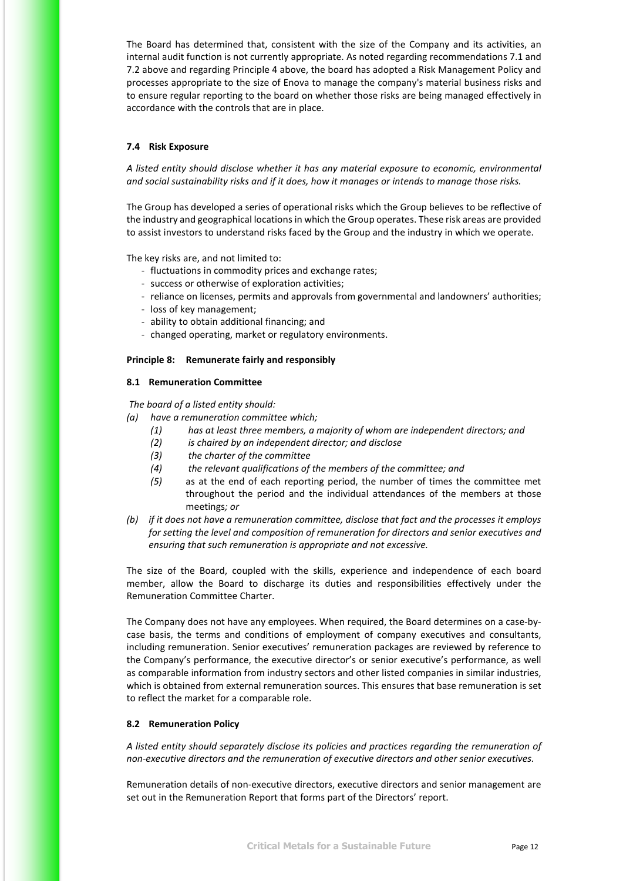The Board has determined that, consistent with the size of the Company and its activities, an internal audit function is not currently appropriate. As noted regarding recommendations 7.1 and 7.2 above and regarding Principle 4 above, the board has adopted a Risk Management Policy and processes appropriate to the size of Enova to manage the company's material business risks and to ensure regular reporting to the board on whether those risks are being managed effectively in accordance with the controls that are in place.

#### <span id="page-27-0"></span>**7.4 Risk Exposure**

*A listed entity should disclose whether it has any material exposure to economic, environmental and social sustainability risks and if it does, how it manages or intends to manage those risks.*

The Group has developed a series of operational risks which the Group believes to be reflective of the industry and geographical locations in which the Group operates. These risk areas are provided to assist investors to understand risks faced by the Group and the industry in which we operate.

The key risks are, and not limited to:

- fluctuations in commodity prices and exchange rates;
- success or otherwise of exploration activities;
- reliance on licenses, permits and approvals from governmental and landowners' authorities;
- loss of key management;
- ability to obtain additional financing; and
- changed operating, market or regulatory environments.

#### <span id="page-27-1"></span>**Principle 8: Remunerate fairly and responsibly**

#### <span id="page-27-2"></span>**8.1 Remuneration Committee**

*The board of a listed entity should:*

- *(a) have a remuneration committee which;*
	- *(1) has at least three members, a majority of whom are independent directors; and*
	- *(2) is chaired by an independent director; and disclose*
	- *(3) the charter of the committee*
	- *(4) the relevant qualifications of the members of the committee; and*
	- *(5)* as at the end of each reporting period, the number of times the committee met throughout the period and the individual attendances of the members at those meetings*; or*
- *(b) if it does not have a remuneration committee, disclose that fact and the processes it employs for setting the level and composition of remuneration for directors and senior executives and ensuring that such remuneration is appropriate and not excessive.*

The size of the Board, coupled with the skills, experience and independence of each board member, allow the Board to discharge its duties and responsibilities effectively under the Remuneration Committee Charter.

The Company does not have any employees. When required, the Board determines on a case-bycase basis, the terms and conditions of employment of company executives and consultants, including remuneration. Senior executives' remuneration packages are reviewed by reference to the Company's performance, the executive director's or senior executive's performance, as well as comparable information from industry sectors and other listed companies in similar industries, which is obtained from external remuneration sources. This ensures that base remuneration is set to reflect the market for a comparable role.

#### <span id="page-27-3"></span>**8.2 Remuneration Policy**

*A listed entity should separately disclose its policies and practices regarding the remuneration of non-executive directors and the remuneration of executive directors and other senior executives.*

Remuneration details of non-executive directors, executive directors and senior management are set out in the Remuneration Report that forms part of the Directors' report.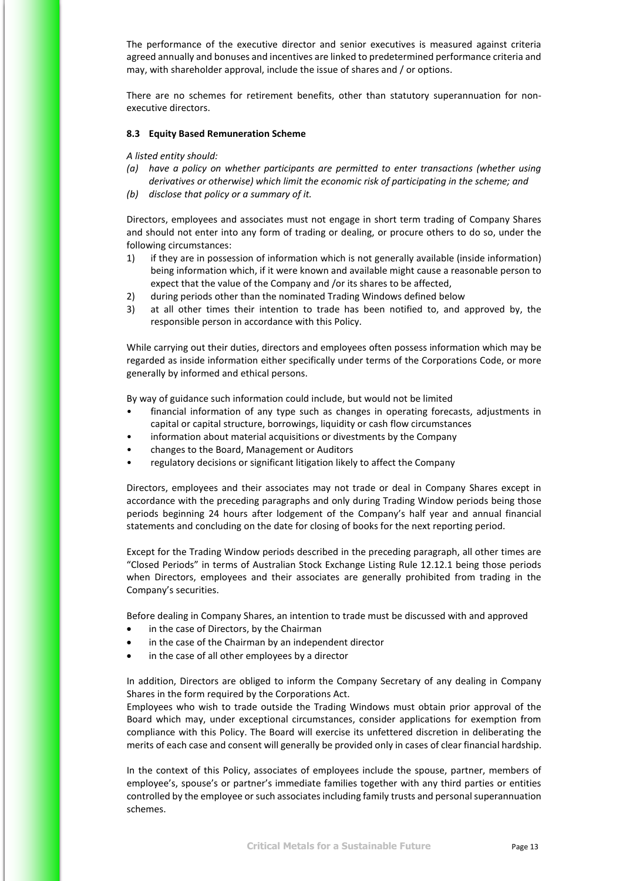The performance of the executive director and senior executives is measured against criteria agreed annually and bonuses and incentives are linked to predetermined performance criteria and may, with shareholder approval, include the issue of shares and / or options.

There are no schemes for retirement benefits, other than statutory superannuation for nonexecutive directors.

#### <span id="page-28-0"></span>**8.3 Equity Based Remuneration Scheme**

*A listed entity should:*

- *(a) have a policy on whether participants are permitted to enter transactions (whether using derivatives or otherwise) which limit the economic risk of participating in the scheme; and*
- *(b) disclose that policy or a summary of it.*

Directors, employees and associates must not engage in short term trading of Company Shares and should not enter into any form of trading or dealing, or procure others to do so, under the following circumstances:

- 1) if they are in possession of information which is not generally available (inside information) being information which, if it were known and available might cause a reasonable person to expect that the value of the Company and /or its shares to be affected,
- 2) during periods other than the nominated Trading Windows defined below
- 3) at all other times their intention to trade has been notified to, and approved by, the responsible person in accordance with this Policy.

While carrying out their duties, directors and employees often possess information which may be regarded as inside information either specifically under terms of the Corporations Code, or more generally by informed and ethical persons.

By way of guidance such information could include, but would not be limited

- financial information of any type such as changes in operating forecasts, adjustments in capital or capital structure, borrowings, liquidity or cash flow circumstances
- information about material acquisitions or divestments by the Company
- changes to the Board, Management or Auditors
- regulatory decisions or significant litigation likely to affect the Company

Directors, employees and their associates may not trade or deal in Company Shares except in accordance with the preceding paragraphs and only during Trading Window periods being those periods beginning 24 hours after lodgement of the Company's half year and annual financial statements and concluding on the date for closing of books for the next reporting period.

Except for the Trading Window periods described in the preceding paragraph, all other times are "Closed Periods" in terms of Australian Stock Exchange Listing Rule 12.12.1 being those periods when Directors, employees and their associates are generally prohibited from trading in the Company's securities.

Before dealing in Company Shares, an intention to trade must be discussed with and approved

- in the case of Directors, by the Chairman
- in the case of the Chairman by an independent director
- in the case of all other employees by a director

In addition, Directors are obliged to inform the Company Secretary of any dealing in Company Shares in the form required by the Corporations Act.

Employees who wish to trade outside the Trading Windows must obtain prior approval of the Board which may, under exceptional circumstances, consider applications for exemption from compliance with this Policy. The Board will exercise its unfettered discretion in deliberating the merits of each case and consent will generally be provided only in cases of clear financial hardship.

In the context of this Policy, associates of employees include the spouse, partner, members of employee's, spouse's or partner's immediate families together with any third parties or entities controlled by the employee or such associates including family trusts and personal superannuation schemes.